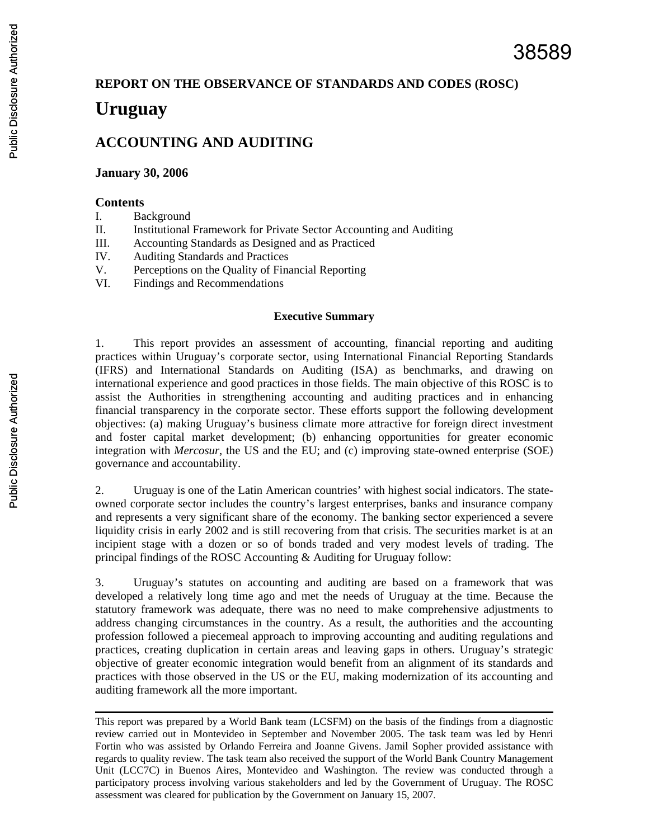#### **REPORT ON THE OBSERVANCE OF STANDARDS AND CODES (ROSC)**

# **Uruguay**

# **ACCOUNTING AND AUDITING**

#### **January 30, 2006**

#### **Contents**

- I. Background
- II. Institutional Framework for Private Sector Accounting and Auditing
- III. Accounting Standards as Designed and as Practiced
- IV. Auditing Standards and Practices
- V. Perceptions on the Quality of Financial Reporting
- VI. Findings and Recommendations

#### **Executive Summary**

1. This report provides an assessment of accounting, financial reporting and auditing practices within Uruguay's corporate sector, using International Financial Reporting Standards (IFRS) and International Standards on Auditing (ISA) as benchmarks, and drawing on international experience and good practices in those fields. The main objective of this ROSC is to assist the Authorities in strengthening accounting and auditing practices and in enhancing financial transparency in the corporate sector. These efforts support the following development objectives: (a) making Uruguay's business climate more attractive for foreign direct investment and foster capital market development; (b) enhancing opportunities for greater economic integration with *Mercosur*, the US and the EU; and (c) improving state-owned enterprise (SOE) governance and accountability.

2. Uruguay is one of the Latin American countries' with highest social indicators. The stateowned corporate sector includes the country's largest enterprises, banks and insurance company and represents a very significant share of the economy. The banking sector experienced a severe liquidity crisis in early 2002 and is still recovering from that crisis. The securities market is at an incipient stage with a dozen or so of bonds traded and very modest levels of trading. The principal findings of the ROSC Accounting & Auditing for Uruguay follow:

3. Uruguay's statutes on accounting and auditing are based on a framework that was developed a relatively long time ago and met the needs of Uruguay at the time. Because the statutory framework was adequate, there was no need to make comprehensive adjustments to address changing circumstances in the country. As a result, the authorities and the accounting profession followed a piecemeal approach to improving accounting and auditing regulations and practices, creating duplication in certain areas and leaving gaps in others. Uruguay's strategic objective of greater economic integration would benefit from an alignment of its standards and practices with those observed in the US or the EU, making modernization of its accounting and auditing framework all the more important.

This report was prepared by a World Bank team (LCSFM) on the basis of the findings from a diagnostic review carried out in Montevideo in September and November 2005. The task team was led by Henri Fortin who was assisted by Orlando Ferreira and Joanne Givens. Jamil Sopher provided assistance with regards to quality review. The task team also received the support of the World Bank Country Management Unit (LCC7C) in Buenos Aires, Montevideo and Washington. The review was conducted through a participatory process involving various stakeholders and led by the Government of Uruguay. The ROSC assessment was cleared for publication by the Government on January 15, 2007.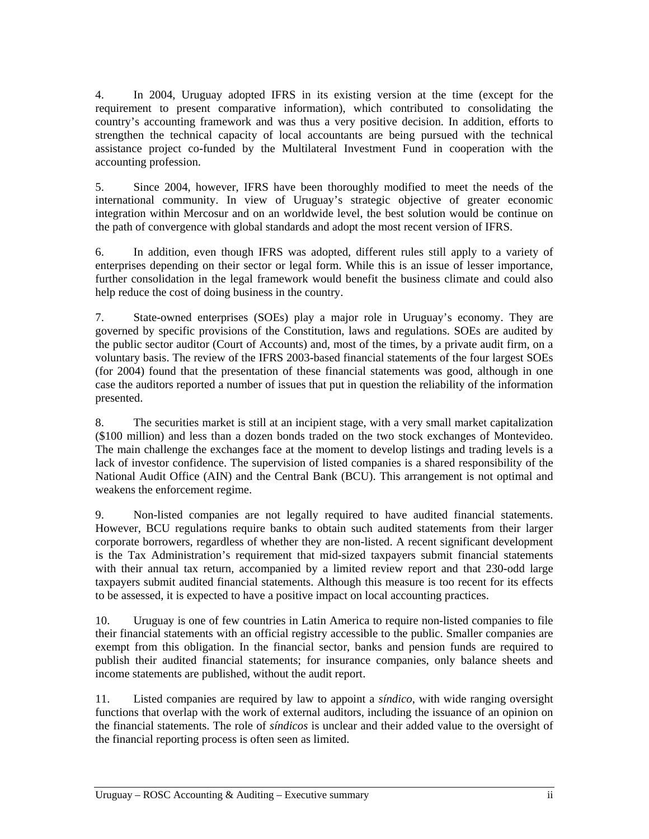4. In 2004, Uruguay adopted IFRS in its existing version at the time (except for the requirement to present comparative information), which contributed to consolidating the country's accounting framework and was thus a very positive decision. In addition, efforts to strengthen the technical capacity of local accountants are being pursued with the technical assistance project co-funded by the Multilateral Investment Fund in cooperation with the accounting profession.

5. Since 2004, however, IFRS have been thoroughly modified to meet the needs of the international community. In view of Uruguay's strategic objective of greater economic integration within Mercosur and on an worldwide level, the best solution would be continue on the path of convergence with global standards and adopt the most recent version of IFRS.

6. In addition, even though IFRS was adopted, different rules still apply to a variety of enterprises depending on their sector or legal form. While this is an issue of lesser importance, further consolidation in the legal framework would benefit the business climate and could also help reduce the cost of doing business in the country.

7. State-owned enterprises (SOEs) play a major role in Uruguay's economy. They are governed by specific provisions of the Constitution, laws and regulations. SOEs are audited by the public sector auditor (Court of Accounts) and, most of the times, by a private audit firm, on a voluntary basis. The review of the IFRS 2003-based financial statements of the four largest SOEs (for 2004) found that the presentation of these financial statements was good, although in one case the auditors reported a number of issues that put in question the reliability of the information presented.

8. The securities market is still at an incipient stage, with a very small market capitalization (\$100 million) and less than a dozen bonds traded on the two stock exchanges of Montevideo. The main challenge the exchanges face at the moment to develop listings and trading levels is a lack of investor confidence. The supervision of listed companies is a shared responsibility of the National Audit Office (AIN) and the Central Bank (BCU). This arrangement is not optimal and weakens the enforcement regime.

9. Non-listed companies are not legally required to have audited financial statements. However, BCU regulations require banks to obtain such audited statements from their larger corporate borrowers, regardless of whether they are non-listed. A recent significant development is the Tax Administration's requirement that mid-sized taxpayers submit financial statements with their annual tax return, accompanied by a limited review report and that 230-odd large taxpayers submit audited financial statements. Although this measure is too recent for its effects to be assessed, it is expected to have a positive impact on local accounting practices.

10. Uruguay is one of few countries in Latin America to require non-listed companies to file their financial statements with an official registry accessible to the public. Smaller companies are exempt from this obligation. In the financial sector, banks and pension funds are required to publish their audited financial statements; for insurance companies, only balance sheets and income statements are published, without the audit report.

11. Listed companies are required by law to appoint a *síndico*, with wide ranging oversight functions that overlap with the work of external auditors, including the issuance of an opinion on the financial statements. The role of *síndicos* is unclear and their added value to the oversight of the financial reporting process is often seen as limited.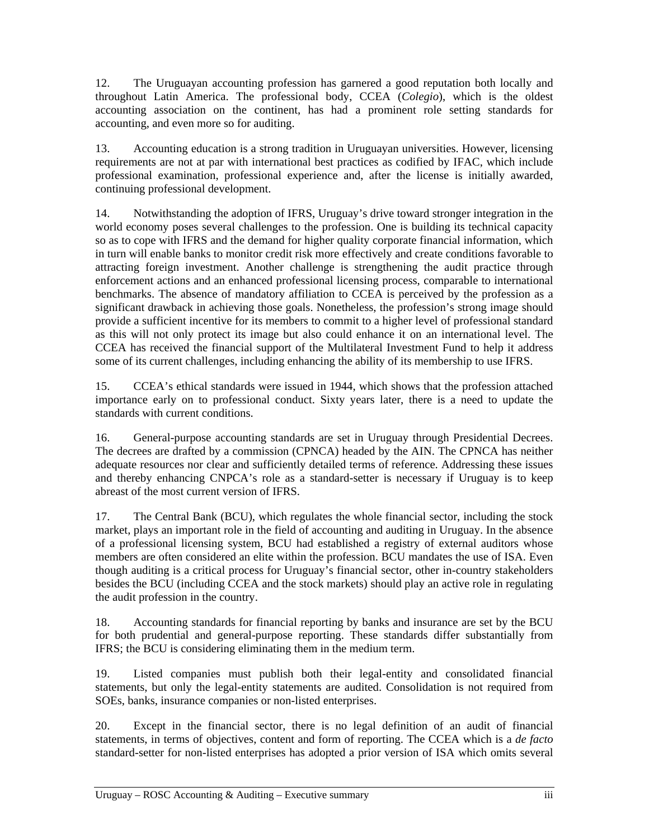12. The Uruguayan accounting profession has garnered a good reputation both locally and throughout Latin America. The professional body, CCEA (*Colegio*), which is the oldest accounting association on the continent, has had a prominent role setting standards for accounting, and even more so for auditing.

13. Accounting education is a strong tradition in Uruguayan universities. However, licensing requirements are not at par with international best practices as codified by IFAC, which include professional examination, professional experience and, after the license is initially awarded, continuing professional development.

14. Notwithstanding the adoption of IFRS, Uruguay's drive toward stronger integration in the world economy poses several challenges to the profession. One is building its technical capacity so as to cope with IFRS and the demand for higher quality corporate financial information, which in turn will enable banks to monitor credit risk more effectively and create conditions favorable to attracting foreign investment. Another challenge is strengthening the audit practice through enforcement actions and an enhanced professional licensing process, comparable to international benchmarks. The absence of mandatory affiliation to CCEA is perceived by the profession as a significant drawback in achieving those goals. Nonetheless, the profession's strong image should provide a sufficient incentive for its members to commit to a higher level of professional standard as this will not only protect its image but also could enhance it on an international level. The CCEA has received the financial support of the Multilateral Investment Fund to help it address some of its current challenges, including enhancing the ability of its membership to use IFRS.

15. CCEA's ethical standards were issued in 1944, which shows that the profession attached importance early on to professional conduct. Sixty years later, there is a need to update the standards with current conditions.

16. General-purpose accounting standards are set in Uruguay through Presidential Decrees. The decrees are drafted by a commission (CPNCA) headed by the AIN. The CPNCA has neither adequate resources nor clear and sufficiently detailed terms of reference. Addressing these issues and thereby enhancing CNPCA's role as a standard-setter is necessary if Uruguay is to keep abreast of the most current version of IFRS.

17. The Central Bank (BCU), which regulates the whole financial sector, including the stock market, plays an important role in the field of accounting and auditing in Uruguay. In the absence of a professional licensing system, BCU had established a registry of external auditors whose members are often considered an elite within the profession. BCU mandates the use of ISA. Even though auditing is a critical process for Uruguay's financial sector, other in-country stakeholders besides the BCU (including CCEA and the stock markets) should play an active role in regulating the audit profession in the country.

18. Accounting standards for financial reporting by banks and insurance are set by the BCU for both prudential and general-purpose reporting. These standards differ substantially from IFRS; the BCU is considering eliminating them in the medium term.

19. Listed companies must publish both their legal-entity and consolidated financial statements, but only the legal-entity statements are audited. Consolidation is not required from SOEs, banks, insurance companies or non-listed enterprises.

20. Except in the financial sector, there is no legal definition of an audit of financial statements, in terms of objectives, content and form of reporting. The CCEA which is a *de facto* standard-setter for non-listed enterprises has adopted a prior version of ISA which omits several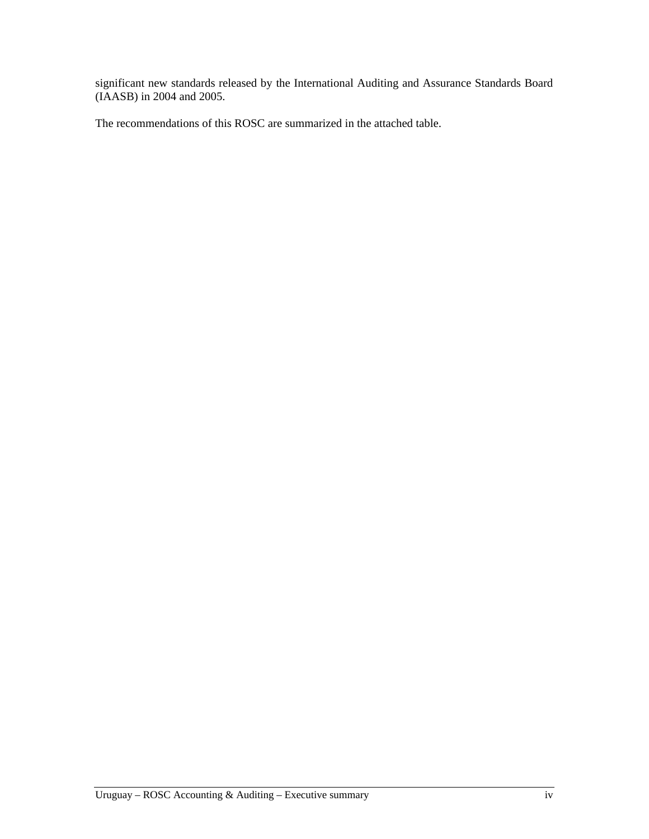significant new standards released by the International Auditing and Assurance Standards Board (IAASB) in 2004 and 2005.

The recommendations of this ROSC are summarized in the attached table.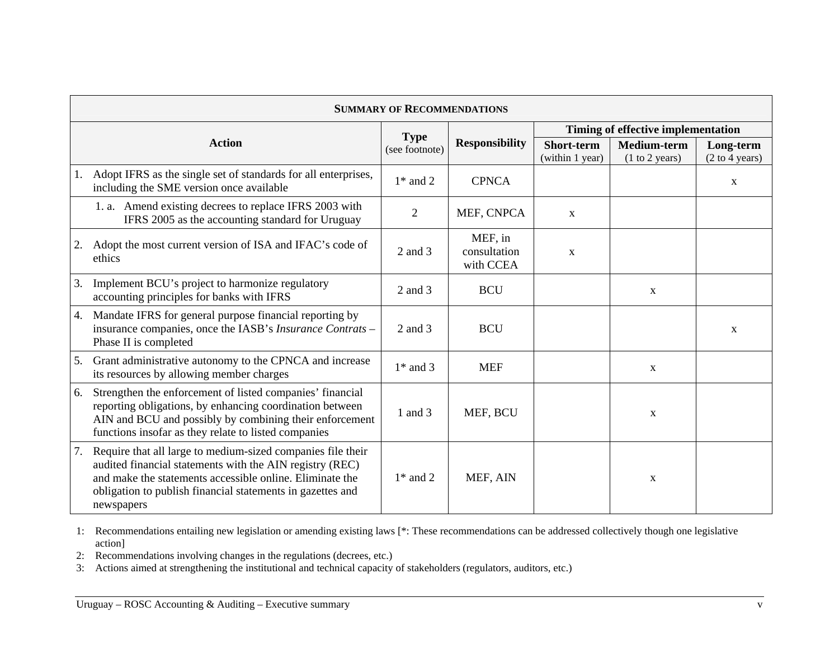| <b>SUMMARY OF RECOMMENDATIONS</b> |                                                                                                                                                                                                                                                                 |                               |                                      |                                    |                               |                             |  |
|-----------------------------------|-----------------------------------------------------------------------------------------------------------------------------------------------------------------------------------------------------------------------------------------------------------------|-------------------------------|--------------------------------------|------------------------------------|-------------------------------|-----------------------------|--|
|                                   |                                                                                                                                                                                                                                                                 |                               | <b>Responsibility</b>                | Timing of effective implementation |                               |                             |  |
|                                   | <b>Action</b>                                                                                                                                                                                                                                                   | <b>Type</b><br>(see footnote) |                                      | Short-term<br>(within 1 year)      | Medium-term<br>(1 to 2 years) | Long-term<br>(2 to 4 years) |  |
| 1.                                | Adopt IFRS as the single set of standards for all enterprises,<br>including the SME version once available                                                                                                                                                      | $1*$ and 2                    | <b>CPNCA</b>                         |                                    |                               | X                           |  |
|                                   | 1. a. Amend existing decrees to replace IFRS 2003 with<br>IFRS 2005 as the accounting standard for Uruguay                                                                                                                                                      | 2                             | MEF, CNPCA                           | $\mathbf{x}$                       |                               |                             |  |
| 2.                                | Adopt the most current version of ISA and IFAC's code of<br>ethics                                                                                                                                                                                              | $2$ and $3$                   | MEF, in<br>consultation<br>with CCEA | $\mathbf X$                        |                               |                             |  |
| 3.                                | Implement BCU's project to harmonize regulatory<br>accounting principles for banks with IFRS                                                                                                                                                                    | 2 and 3                       | <b>BCU</b>                           |                                    | $\mathbf{X}$                  |                             |  |
| 4.                                | Mandate IFRS for general purpose financial reporting by<br>insurance companies, once the IASB's Insurance Contrats -<br>Phase II is completed                                                                                                                   | $2$ and $3$                   | <b>BCU</b>                           |                                    |                               | X                           |  |
| 5.                                | Grant administrative autonomy to the CPNCA and increase<br>its resources by allowing member charges                                                                                                                                                             | $1*$ and 3                    | <b>MEF</b>                           |                                    | X                             |                             |  |
| 6.                                | Strengthen the enforcement of listed companies' financial<br>reporting obligations, by enhancing coordination between<br>AIN and BCU and possibly by combining their enforcement<br>functions insofar as they relate to listed companies                        | 1 and 3                       | MEF, BCU                             |                                    | X                             |                             |  |
| 7.                                | Require that all large to medium-sized companies file their<br>audited financial statements with the AIN registry (REC)<br>and make the statements accessible online. Eliminate the<br>obligation to publish financial statements in gazettes and<br>newspapers | $1*$ and 2                    | MEF, AIN                             |                                    | X                             |                             |  |

1: Recommendations entailing new legislation or amending existing laws [\*: These recommendations can be addressed collectively though one legislative action]

2: Recommendations involving changes in the regulations (decrees, etc.)

3: Actions aimed at strengthening the institutional and technical capacity of stakeholders (regulators, auditors, etc.)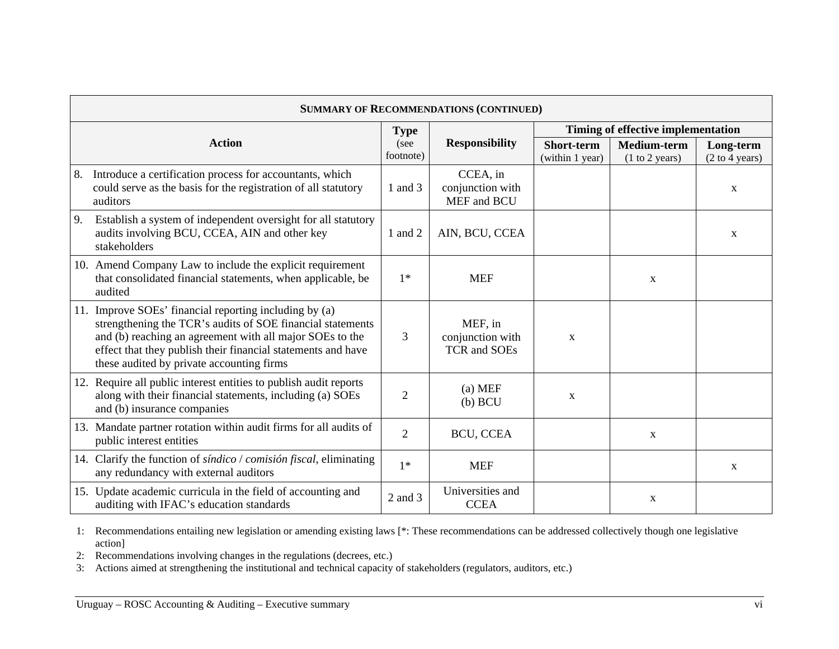| <b>SUMMARY OF RECOMMENDATIONS (CONTINUED)</b> |                                                                                                                                                                                                                                                                                               |                |                                                    |                                      |                                      |                             |
|-----------------------------------------------|-----------------------------------------------------------------------------------------------------------------------------------------------------------------------------------------------------------------------------------------------------------------------------------------------|----------------|----------------------------------------------------|--------------------------------------|--------------------------------------|-----------------------------|
|                                               |                                                                                                                                                                                                                                                                                               |                |                                                    | Timing of effective implementation   |                                      |                             |
|                                               | <b>Action</b>                                                                                                                                                                                                                                                                                 |                | <b>Responsibility</b>                              | <b>Short-term</b><br>(within 1 year) | <b>Medium-term</b><br>(1 to 2 years) | Long-term<br>(2 to 4 years) |
| 8.                                            | Introduce a certification process for accountants, which<br>could serve as the basis for the registration of all statutory<br>auditors                                                                                                                                                        | 1 and 3        | CCEA, in<br>conjunction with<br>MEF and BCU        |                                      |                                      | $\mathbf X$                 |
| 9.                                            | Establish a system of independent oversight for all statutory<br>audits involving BCU, CCEA, AIN and other key<br>stakeholders                                                                                                                                                                | 1 and 2        | AIN, BCU, CCEA                                     |                                      |                                      | $\mathbf X$                 |
|                                               | 10. Amend Company Law to include the explicit requirement<br>that consolidated financial statements, when applicable, be<br>audited                                                                                                                                                           | $1*$           | <b>MEF</b>                                         |                                      | X                                    |                             |
|                                               | 11. Improve SOEs' financial reporting including by (a)<br>strengthening the TCR's audits of SOE financial statements<br>and (b) reaching an agreement with all major SOEs to the<br>effect that they publish their financial statements and have<br>these audited by private accounting firms | 3              | MEF, in<br>conjunction with<br><b>TCR</b> and SOEs | $\mathbf X$                          |                                      |                             |
| 12.                                           | Require all public interest entities to publish audit reports<br>along with their financial statements, including (a) SOEs<br>and (b) insurance companies                                                                                                                                     | $\overline{2}$ | $(a)$ MEF<br>$(b)$ BCU                             | $\mathbf X$                          |                                      |                             |
|                                               | 13. Mandate partner rotation within audit firms for all audits of<br>public interest entities                                                                                                                                                                                                 | $\overline{2}$ | BCU, CCEA                                          |                                      | X                                    |                             |
|                                               | 14. Clarify the function of <i>síndico</i> / <i>comisión fiscal</i> , eliminating<br>any redundancy with external auditors                                                                                                                                                                    | $1*$           | <b>MEF</b>                                         |                                      |                                      | X                           |
|                                               | 15. Update academic curricula in the field of accounting and<br>auditing with IFAC's education standards                                                                                                                                                                                      | $2$ and $3$    | Universities and<br><b>CCEA</b>                    |                                      | $\mathbf X$                          |                             |

1: Recommendations entailing new legislation or amending existing laws [\*: These recommendations can be addressed collectively though one legislative action]

2: Recommendations involving changes in the regulations (decrees, etc.)

3: Actions aimed at strengthening the institutional and technical capacity of stakeholders (regulators, auditors, etc.)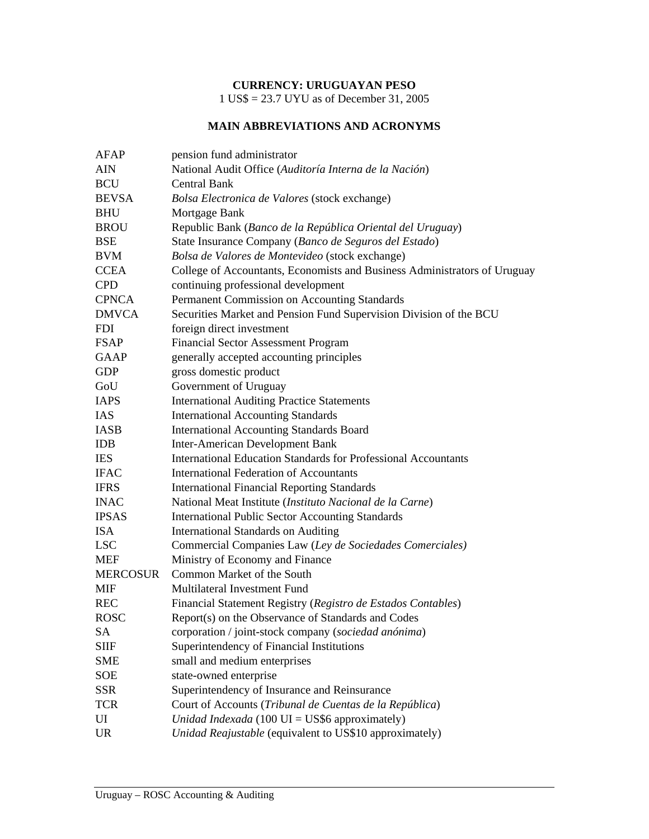## **CURRENCY: URUGUAYAN PESO**

1 US\$ = 23.7 UYU as of December 31, 2005

# **MAIN ABBREVIATIONS AND ACRONYMS**

| AFAP            | pension fund administrator                                                |
|-----------------|---------------------------------------------------------------------------|
| <b>AIN</b>      | National Audit Office (Auditoría Interna de la Nación)                    |
| <b>BCU</b>      | <b>Central Bank</b>                                                       |
| <b>BEVSA</b>    | Bolsa Electronica de Valores (stock exchange)                             |
| <b>BHU</b>      | Mortgage Bank                                                             |
| <b>BROU</b>     | Republic Bank (Banco de la República Oriental del Uruguay)                |
| <b>BSE</b>      | State Insurance Company (Banco de Seguros del Estado)                     |
| <b>BVM</b>      | Bolsa de Valores de Montevideo (stock exchange)                           |
| <b>CCEA</b>     | College of Accountants, Economists and Business Administrators of Uruguay |
| <b>CPD</b>      | continuing professional development                                       |
| <b>CPNCA</b>    | Permanent Commission on Accounting Standards                              |
| <b>DMVCA</b>    | Securities Market and Pension Fund Supervision Division of the BCU        |
| <b>FDI</b>      | foreign direct investment                                                 |
| <b>FSAP</b>     | <b>Financial Sector Assessment Program</b>                                |
| <b>GAAP</b>     | generally accepted accounting principles                                  |
| <b>GDP</b>      | gross domestic product                                                    |
| GoU             | Government of Uruguay                                                     |
| <b>IAPS</b>     | <b>International Auditing Practice Statements</b>                         |
| <b>IAS</b>      | <b>International Accounting Standards</b>                                 |
| <b>IASB</b>     | <b>International Accounting Standards Board</b>                           |
| <b>IDB</b>      | <b>Inter-American Development Bank</b>                                    |
| <b>IES</b>      | <b>International Education Standards for Professional Accountants</b>     |
| <b>IFAC</b>     | <b>International Federation of Accountants</b>                            |
| <b>IFRS</b>     | <b>International Financial Reporting Standards</b>                        |
| <b>INAC</b>     | National Meat Institute (Instituto Nacional de la Carne)                  |
| <b>IPSAS</b>    | <b>International Public Sector Accounting Standards</b>                   |
| <b>ISA</b>      | <b>International Standards on Auditing</b>                                |
| <b>LSC</b>      | Commercial Companies Law (Ley de Sociedades Comerciales)                  |
| <b>MEF</b>      | Ministry of Economy and Finance                                           |
| <b>MERCOSUR</b> | Common Market of the South                                                |
| <b>MIF</b>      | Multilateral Investment Fund                                              |
| <b>REC</b>      | Financial Statement Registry (Registro de Estados Contables)              |
| <b>ROSC</b>     | Report(s) on the Observance of Standards and Codes                        |
| <b>SA</b>       | corporation / joint-stock company (sociedad anónima)                      |
| <b>SIIF</b>     | Superintendency of Financial Institutions                                 |
| <b>SME</b>      | small and medium enterprises                                              |
| SOE             | state-owned enterprise                                                    |
| <b>SSR</b>      | Superintendency of Insurance and Reinsurance                              |
| <b>TCR</b>      | Court of Accounts (Tribunal de Cuentas de la República)                   |
| UI              | Unidad Indexada (100 $UI = US$6$ approximately)                           |
| <b>UR</b>       | Unidad Reajustable (equivalent to US\$10 approximately)                   |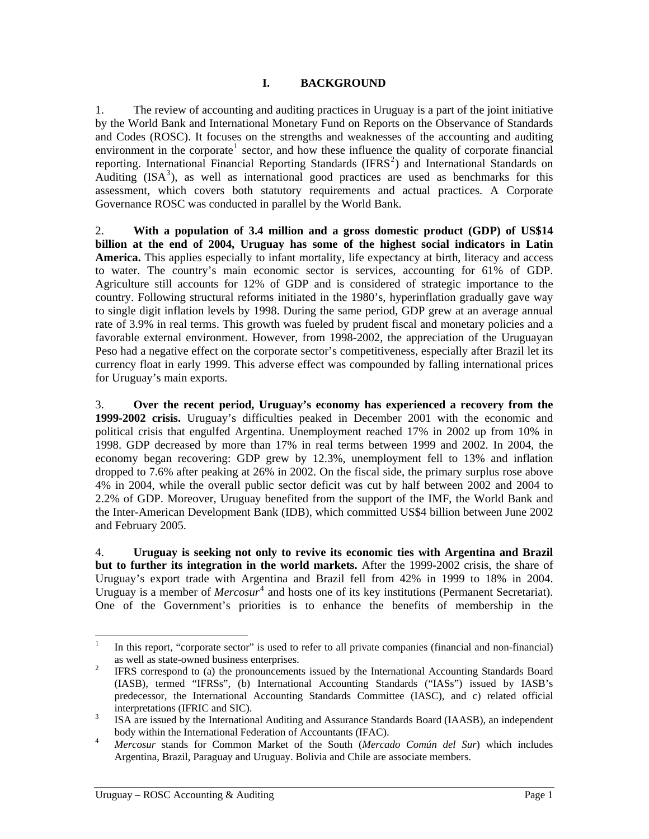#### **I. BACKGROUND**

<span id="page-7-0"></span>1. The review of accounting and auditing practices in Uruguay is a part of the joint initiative by the World Bank and International Monetary Fund on Reports on the Observance of Standards and Codes (ROSC). It focuses on the strengths and weaknesses of the accounting and auditing environment in the corporate<sup>[1](#page-7-0)</sup> sector, and how these influence the quality of corporate financial reporting. International Financial Reporting Standards (IFRS<sup>[2](#page-7-0)</sup>) and International Standards on Auditing  $(ISA^3)$  $(ISA^3)$  $(ISA^3)$ , as well as international good practices are used as benchmarks for this assessment, which covers both statutory requirements and actual practices. A Corporate Governance ROSC was conducted in parallel by the World Bank.

2. **With a population of 3.4 million and a gross domestic product (GDP) of US\$14 billion at the end of 2004, Uruguay has some of the highest social indicators in Latin America.** This applies especially to infant mortality, life expectancy at birth, literacy and access to water. The country's main economic sector is services, accounting for 61% of GDP. Agriculture still accounts for 12% of GDP and is considered of strategic importance to the country. Following structural reforms initiated in the 1980's, hyperinflation gradually gave way to single digit inflation levels by 1998. During the same period, GDP grew at an average annual rate of 3.9% in real terms. This growth was fueled by prudent fiscal and monetary policies and a favorable external environment. However, from 1998-2002, the appreciation of the Uruguayan Peso had a negative effect on the corporate sector's competitiveness, especially after Brazil let its currency float in early 1999. This adverse effect was compounded by falling international prices for Uruguay's main exports.

3. **Over the recent period, Uruguay's economy has experienced a recovery from the 1999-2002 crisis.** Uruguay's difficulties peaked in December 2001 with the economic and political crisis that engulfed Argentina. Unemployment reached 17% in 2002 up from 10% in 1998. GDP decreased by more than 17% in real terms between 1999 and 2002. In 2004, the economy began recovering: GDP grew by 12.3%, unemployment fell to 13% and inflation dropped to 7.6% after peaking at 26% in 2002. On the fiscal side, the primary surplus rose above 4% in 2004, while the overall public sector deficit was cut by half between 2002 and 2004 to 2.2% of GDP. Moreover, Uruguay benefited from the support of the IMF, the World Bank and the Inter-American Development Bank (IDB), which committed US\$4 billion between June 2002 and February 2005.

4. **Uruguay is seeking not only to revive its economic ties with Argentina and Brazil but to further its integration in the world markets.** After the 1999-2002 crisis, the share of Uruguay's export trade with Argentina and Brazil fell from 42% in 1999 to 18% in 2004. Uruguay is a member of *Mercosur*<sup>[4](#page-7-0)</sup> and hosts one of its key institutions (Permanent Secretariat). One of the Government's priorities is to enhance the benefits of membership in the

 $\frac{1}{1}$ In this report, "corporate sector" is used to refer to all private companies (financial and non-financial) as well as state-owned business enterprises.<br><sup>2</sup> EEDS expressed to (c) the pressure expected.

IFRS correspond to (a) the pronouncements issued by the International Accounting Standards Board (IASB), termed "IFRSs", (b) International Accounting Standards ("IASs") issued by IASB's predecessor, the International Accounting Standards Committee (IASC), and c) related official interpretations (IFRIC and SIC).<br> $\frac{3}{15}$  IS A are issued by the Internation

ISA are issued by the International Auditing and Assurance Standards Board (IAASB), an independent body within the International Federation of Accountants (IFAC).

*Mercosur* stands for Common Market of the South (*Mercado Común del Sur*) which includes Argentina, Brazil, Paraguay and Uruguay. Bolivia and Chile are associate members.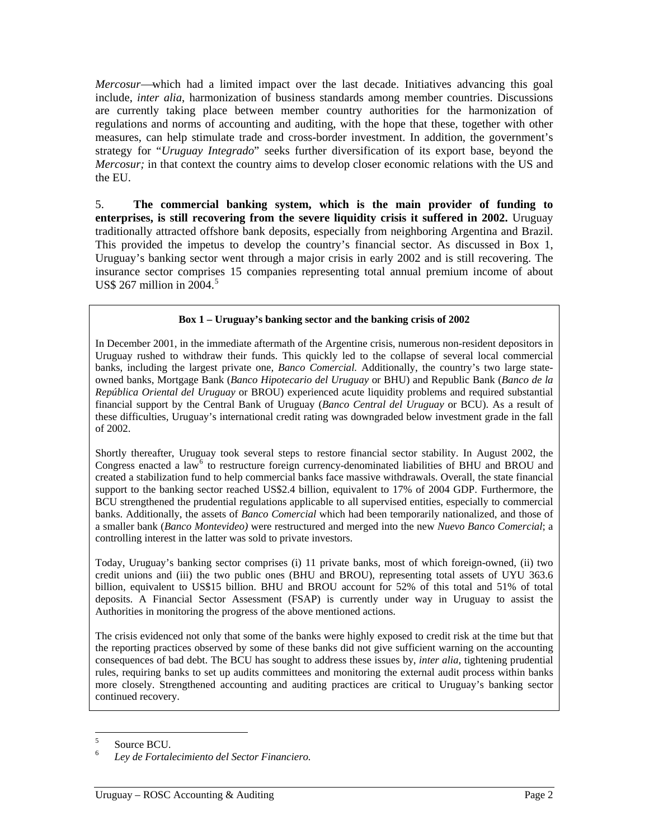<span id="page-8-0"></span>*Mercosur*—which had a limited impact over the last decade. Initiatives advancing this goal include, *inter alia*, harmonization of business standards among member countries. Discussions are currently taking place between member country authorities for the harmonization of regulations and norms of accounting and auditing, with the hope that these, together with other measures, can help stimulate trade and cross-border investment. In addition, the government's strategy for "*Uruguay Integrado*" seeks further diversification of its export base, beyond the *Mercosur;* in that context the country aims to develop closer economic relations with the US and the EU.

5. **The commercial banking system, which is the main provider of funding to enterprises, is still recovering from the severe liquidity crisis it suffered in 2002.** Uruguay traditionally attracted offshore bank deposits, especially from neighboring Argentina and Brazil. This provided the impetus to develop the country's financial sector. As discussed in Box 1, Uruguay's banking sector went through a major crisis in early 2002 and is still recovering. The insurance sector comprises 15 companies representing total annual premium income of about US\$ 267 million in  $2004.<sup>5</sup>$  $2004.<sup>5</sup>$  $2004.<sup>5</sup>$ 

#### **Box 1 – Uruguay's banking sector and the banking crisis of 2002**

In December 2001, in the immediate aftermath of the Argentine crisis, numerous non-resident depositors in Uruguay rushed to withdraw their funds. This quickly led to the collapse of several local commercial banks, including the largest private one, *Banco Comercial.* Additionally, the country's two large stateowned banks, Mortgage Bank (*Banco Hipotecario del Uruguay* or BHU) and Republic Bank (*Banco de la República Oriental del Uruguay* or BROU) experienced acute liquidity problems and required substantial financial support by the Central Bank of Uruguay (*Banco Central del Uruguay* or BCU). As a result of these difficulties, Uruguay's international credit rating was downgraded below investment grade in the fall of 2002.

Shortly thereafter, Uruguay took several steps to restore financial sector stability. In August 2002, the Congress enacted a law<sup>[6](#page-8-0)</sup> to restructure foreign currency-denominated liabilities of BHU and BROU and created a stabilization fund to help commercial banks face massive withdrawals. Overall, the state financial support to the banking sector reached US\$2.4 billion, equivalent to 17% of 2004 GDP. Furthermore, the BCU strengthened the prudential regulations applicable to all supervised entities, especially to commercial banks. Additionally, the assets of *Banco Comercial* which had been temporarily nationalized, and those of a smaller bank (*Banco Montevideo)* were restructured and merged into the new *Nuevo Banco Comercial*; a controlling interest in the latter was sold to private investors.

Today, Uruguay's banking sector comprises (i) 11 private banks, most of which foreign-owned, (ii) two credit unions and (iii) the two public ones (BHU and BROU), representing total assets of UYU 363.6 billion, equivalent to US\$15 billion. BHU and BROU account for 52% of this total and 51% of total deposits. A Financial Sector Assessment (FSAP) is currently under way in Uruguay to assist the Authorities in monitoring the progress of the above mentioned actions.

The crisis evidenced not only that some of the banks were highly exposed to credit risk at the time but that the reporting practices observed by some of these banks did not give sufficient warning on the accounting consequences of bad debt. The BCU has sought to address these issues by, *inter alia*, tightening prudential rules, requiring banks to set up audits committees and monitoring the external audit process within banks more closely. Strengthened accounting and auditing practices are critical to Uruguay's banking sector continued recovery.

 5 Source BCU.

<sup>6</sup> *Ley de Fortalecimiento del Sector Financiero.*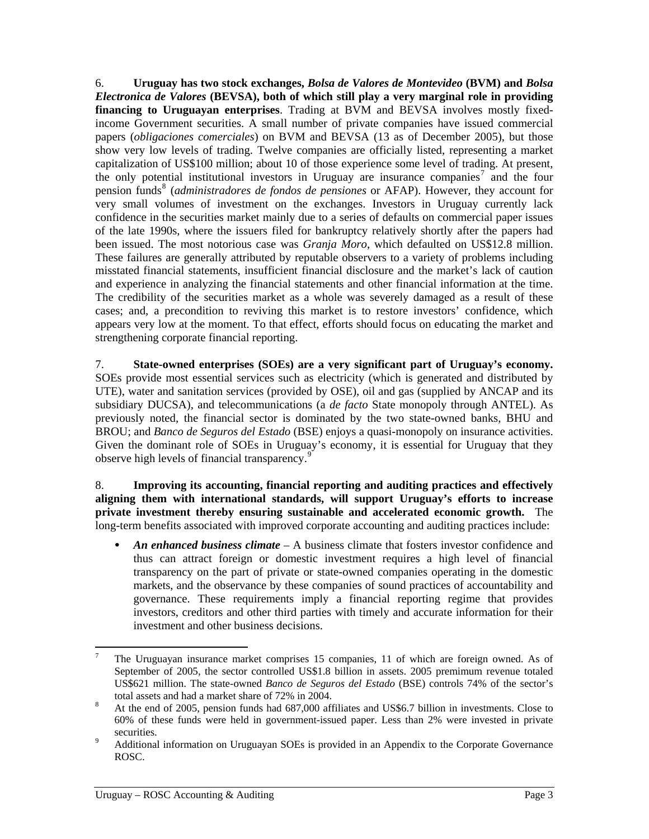<span id="page-9-0"></span>6. **Uruguay has two stock exchanges,** *Bolsa de Valores de Montevideo* **(BVM) and** *Bolsa Electronica de Valores* **(BEVSA), both of which still play a very marginal role in providing financing to Uruguayan enterprises**. Trading at BVM and BEVSA involves mostly fixedincome Government securities. A small number of private companies have issued commercial papers (*obligaciones comerciales*) on BVM and BEVSA (13 as of December 2005), but those show very low levels of trading. Twelve companies are officially listed, representing a market capitalization of US\$100 million; about 10 of those experience some level of trading. At present, the only potential institutional investors in Uruguay are insurance companies<sup>[7](#page-9-0)</sup> and the four pension funds<sup>[8](#page-9-0)</sup> (*administradores de fondos de pensiones* or AFAP). However, they account for very small volumes of investment on the exchanges. Investors in Uruguay currently lack confidence in the securities market mainly due to a series of defaults on commercial paper issues of the late 1990s, where the issuers filed for bankruptcy relatively shortly after the papers had been issued. The most notorious case was *Granja Moro*, which defaulted on US\$12.8 million. These failures are generally attributed by reputable observers to a variety of problems including misstated financial statements, insufficient financial disclosure and the market's lack of caution and experience in analyzing the financial statements and other financial information at the time. The credibility of the securities market as a whole was severely damaged as a result of these cases; and, a precondition to reviving this market is to restore investors' confidence, which appears very low at the moment. To that effect, efforts should focus on educating the market and strengthening corporate financial reporting.

7. **State-owned enterprises (SOEs) are a very significant part of Uruguay's economy.** SOEs provide most essential services such as electricity (which is generated and distributed by UTE), water and sanitation services (provided by OSE), oil and gas (supplied by ANCAP and its subsidiary DUCSA), and telecommunications (a *de facto* State monopoly through ANTEL). As previously noted, the financial sector is dominated by the two state-owned banks, BHU and BROU; and *Banco de Seguros del Estado* (BSE) enjoys a quasi-monopoly on insurance activities. Given the dominant role of SOEs in Uruguay's economy, it is essential for Uruguay that they observe high levels of financial transparency.<sup>[9](#page-9-0)</sup>

8. **Improving its accounting, financial reporting and auditing practices and effectively aligning them with international standards, will support Uruguay's efforts to increase private investment thereby ensuring sustainable and accelerated economic growth.** The long-term benefits associated with improved corporate accounting and auditing practices include:

• *An enhanced business climate* – A business climate that fosters investor confidence and thus can attract foreign or domestic investment requires a high level of financial transparency on the part of private or state-owned companies operating in the domestic markets, and the observance by these companies of sound practices of accountability and governance. These requirements imply a financial reporting regime that provides investors, creditors and other third parties with timely and accurate information for their investment and other business decisions.

 $\overline{a}$ 7 The Uruguayan insurance market comprises 15 companies, 11 of which are foreign owned. As of September of 2005, the sector controlled US\$1.8 billion in assets. 2005 premimum revenue totaled US\$621 million. The state-owned *Banco de Seguros del Estado* (BSE) controls 74% of the sector's total assets and had a market share of 72% in 2004.<br><sup>8</sup> At the end of 2005, pension funds had 687,000 affiliates and US\$6.7 billion in investments. Close to

<sup>60%</sup> of these funds were held in government-issued paper. Less than 2% were invested in private securities.

Additional information on Uruguayan SOEs is provided in an Appendix to the Corporate Governance ROSC.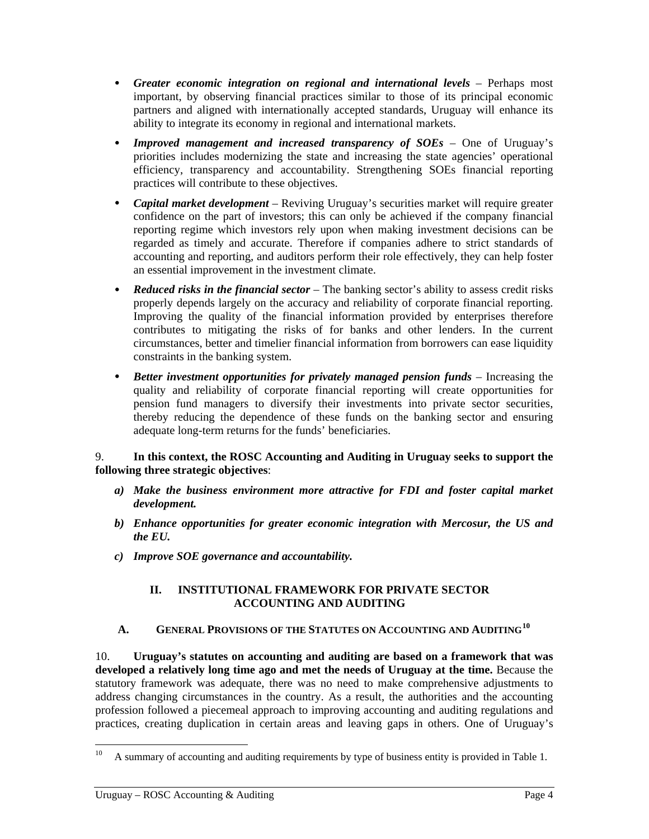- <span id="page-10-0"></span>• *Greater economic integration on regional and international levels – Perhaps most* important, by observing financial practices similar to those of its principal economic partners and aligned with internationally accepted standards, Uruguay will enhance its ability to integrate its economy in regional and international markets.
- *Improved management and increased transparency of SOEs* One of Uruguay's priorities includes modernizing the state and increasing the state agencies' operational efficiency, transparency and accountability. Strengthening SOEs financial reporting practices will contribute to these objectives.
- *Capital market development* Reviving Uruguay's securities market will require greater confidence on the part of investors; this can only be achieved if the company financial reporting regime which investors rely upon when making investment decisions can be regarded as timely and accurate. Therefore if companies adhere to strict standards of accounting and reporting, and auditors perform their role effectively, they can help foster an essential improvement in the investment climate.
- *Reduced risks in the financial sector* The banking sector's ability to assess credit risks properly depends largely on the accuracy and reliability of corporate financial reporting. Improving the quality of the financial information provided by enterprises therefore contributes to mitigating the risks of for banks and other lenders. In the current circumstances, better and timelier financial information from borrowers can ease liquidity constraints in the banking system.
- *Better investment opportunities for privately managed pension funds* Increasing the quality and reliability of corporate financial reporting will create opportunities for pension fund managers to diversify their investments into private sector securities, thereby reducing the dependence of these funds on the banking sector and ensuring adequate long-term returns for the funds' beneficiaries.

### 9. **In this context, the ROSC Accounting and Auditing in Uruguay seeks to support the following three strategic objectives**:

- *a) Make the business environment more attractive for FDI and foster capital market development.*
- *b) Enhance opportunities for greater economic integration with Mercosur, the US and the EU.*
- *c) Improve SOE governance and accountability.*

## **II. INSTITUTIONAL FRAMEWORK FOR PRIVATE SECTOR ACCOUNTING AND AUDITING**

# **A. GENERAL PROVISIONS OF THE STATUTES ON ACCOUNTING AND AUDITING[10](#page-10-0)**

10. **Uruguay's statutes on accounting and auditing are based on a framework that was developed a relatively long time ago and met the needs of Uruguay at the time.** Because the statutory framework was adequate, there was no need to make comprehensive adjustments to address changing circumstances in the country. As a result, the authorities and the accounting profession followed a piecemeal approach to improving accounting and auditing regulations and practices, creating duplication in certain areas and leaving gaps in others. One of Uruguay's

 $10\,$ A summary of accounting and auditing requirements by type of business entity is provided in Table 1.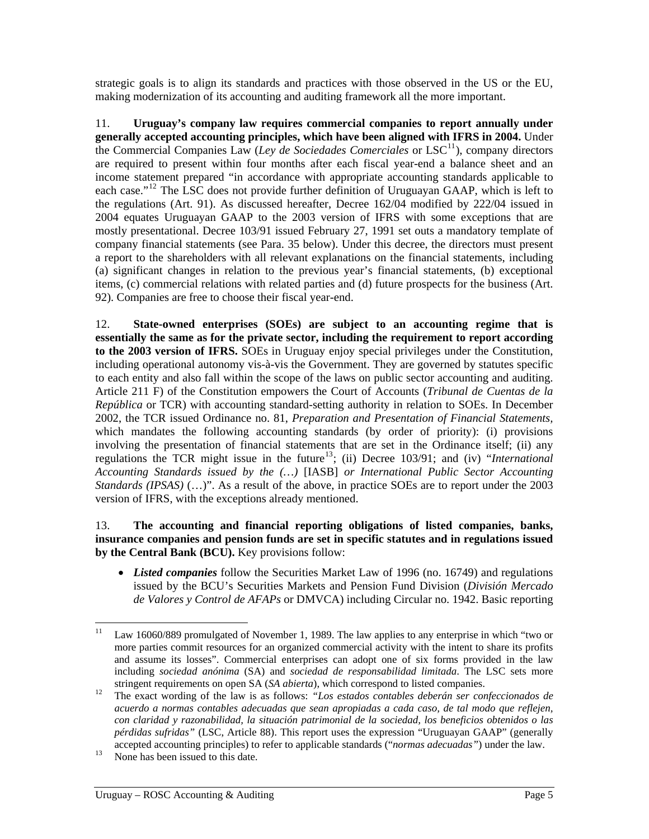<span id="page-11-0"></span>strategic goals is to align its standards and practices with those observed in the US or the EU, making modernization of its accounting and auditing framework all the more important.

11. **Uruguay's company law requires commercial companies to report annually under generally accepted accounting principles, which have been aligned with IFRS in 2004.** Under the Commercial Companies Law (*Ley de Sociedades Comerciales* or  $LSC<sup>11</sup>$  $LSC<sup>11</sup>$  $LSC<sup>11</sup>$ ), company directors are required to present within four months after each fiscal year-end a balance sheet and an income statement prepared "in accordance with appropriate accounting standards applicable to each case."<sup>[12](#page-11-0)</sup> The LSC does not provide further definition of Uruguayan GAAP, which is left to the regulations (Art. 91). As discussed hereafter, Decree 162/04 modified by 222/04 issued in 2004 equates Uruguayan GAAP to the 2003 version of IFRS with some exceptions that are mostly presentational. Decree 103/91 issued February 27, 1991 set outs a mandatory template of company financial statements (see Para. [35 below\)](#page-21-0). Under this decree, the directors must present a report to the shareholders with all relevant explanations on the financial statements, including (a) significant changes in relation to the previous year's financial statements, (b) exceptional items, (c) commercial relations with related parties and (d) future prospects for the business (Art. 92). Companies are free to choose their fiscal year-end.

12. **State-owned enterprises (SOEs) are subject to an accounting regime that is essentially the same as for the private sector, including the requirement to report according to the 2003 version of IFRS.** SOEs in Uruguay enjoy special privileges under the Constitution, including operational autonomy vis-à-vis the Government. They are governed by statutes specific to each entity and also fall within the scope of the laws on public sector accounting and auditing. Article 211 F) of the Constitution empowers the Court of Accounts (*Tribunal de Cuentas de la República* or TCR) with accounting standard-setting authority in relation to SOEs. In December 2002, the TCR issued Ordinance no. 81, *Preparation and Presentation of Financial Statements,* which mandates the following accounting standards (by order of priority): (i) provisions involving the presentation of financial statements that are set in the Ordinance itself; (ii) any regulations the TCR might issue in the future<sup>[13](#page-11-0)</sup>; (ii) Decree 103/91; and (iv) "*International Accounting Standards issued by the (…)* [IASB] *or International Public Sector Accounting Standards (IPSAS)* (…)". As a result of the above, in practice SOEs are to report under the 2003 version of IFRS, with the exceptions already mentioned.

### 13. **The accounting and financial reporting obligations of listed companies, banks, insurance companies and pension funds are set in specific statutes and in regulations issued by the Central Bank (BCU).** Key provisions follow:

• *Listed companies* follow the Securities Market Law of 1996 (no. 16749) and regulations issued by the BCU's Securities Markets and Pension Fund Division (*División Mercado de Valores y Control de AFAPs* or DMVCA) including Circular no. 1942. Basic reporting

<span id="page-11-1"></span> $11\,$ Law 16060/889 promulgated of November 1, 1989. The law applies to any enterprise in which "two or more parties commit resources for an organized commercial activity with the intent to share its profits and assume its losses". Commercial enterprises can adopt one of six forms provided in the law including *sociedad anónima* (SA) and *sociedad de responsabilidad limitada*. The LSC sets more

stringent requirements on open SA (*SA abierta*), which correspond to listed companies. 12 The exact wording of the law is as follows: *"Los estados contables deberán ser confeccionados de acuerdo a normas contables adecuadas que sean apropiadas a cada caso, de tal modo que reflejen, con claridad y razonabilidad, la situación patrimonial de la sociedad, los beneficios obtenidos o las pérdidas sufridas"* (LSC, Article 88). This report uses the expression "Uruguayan GAAP" (generally accepted accounting principles) to refer to applicable standards ("*normas adecuadas*") under the law.<br><sup>13</sup> None has been issued to this date.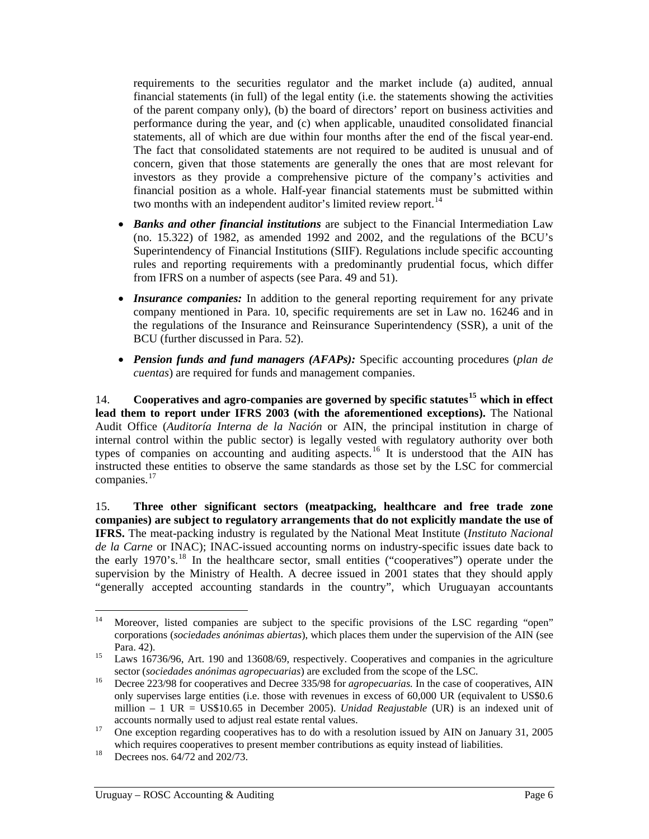<span id="page-12-0"></span>requirements to the securities regulator and the market include (a) audited, annual financial statements (in full) of the legal entity (i.e. the statements showing the activities of the parent company only), (b) the board of directors' report on business activities and performance during the year, and (c) when applicable, unaudited consolidated financial statements, all of which are due within four months after the end of the fiscal year-end. The fact that consolidated statements are not required to be audited is unusual and of concern, given that those statements are generally the ones that are most relevant for investors as they provide a comprehensive picture of the company's activities and financial position as a whole. Half-year financial statements must be submitted within two months with an independent auditor's limited review report.<sup>[14](#page-12-0)</sup>

- *Banks and other financial institutions* are subject to the Financial Intermediation Law (no. 15.322) of 1982, as amended 1992 and 2002, and the regulations of the BCU's Superintendency of Financial Institutions (SIIF). Regulations include specific accounting rules and reporting requirements with a predominantly prudential focus, which differ from IFRS on a number of aspects (see Para. [49](#page-26-0) and [51](#page-27-0)).
- *Insurance companies:* In addition to the general reporting requirement for any private company mentioned in Para. [10,](#page-11-1) specific requirements are set in Law no. 16246 and in the regulations of the Insurance and Reinsurance Superintendency (SSR), a unit of the BCU (further discussed in Para. [52](#page-28-0)).
- *Pension funds and fund managers (AFAPs):* Specific accounting procedures (*plan de cuentas*) are required for funds and management companies.

14. **Cooperatives and agro-companies are governed by specific statutes[15](#page-12-0) which in effect lead them to report under IFRS 2003 (with the aforementioned exceptions).** The National Audit Office (*Auditoría Interna de la Nación* or AIN, the principal institution in charge of internal control within the public sector) is legally vested with regulatory authority over both types of companies on accounting and auditing aspects.<sup>[16](#page-12-0)</sup> It is understood that the AIN has instructed these entities to observe the same standards as those set by the LSC for commercial companies.<sup>[17](#page-12-0)</sup>

15. **Three other significant sectors (meatpacking, healthcare and free trade zone companies) are subject to regulatory arrangements that do not explicitly mandate the use of IFRS.** The meat-packing industry is regulated by the National Meat Institute (*Instituto Nacional de la Carne* or INAC); INAC-issued accounting norms on industry-specific issues date back to the early 1970's.[18](#page-12-0) In the healthcare sector, small entities ("cooperatives") operate under the supervision by the Ministry of Health. A decree issued in 2001 states that they should apply "generally accepted accounting standards in the country", which Uruguayan accountants

 $14<sup>1</sup>$ Moreover, listed companies are subject to the specific provisions of the LSC regarding "open" corporations (*sociedades anónimas abiertas*), which places them under the supervision of the AIN (see

<sup>&</sup>lt;sup>15</sup> Laws 16736/96, Art. 190 and 13608/69, respectively. Cooperatives and companies in the agriculture sector (*sociedades anónimas agropecuarias*) are excluded from the scope of the LSC.<br><sup>16</sup> Decree 223/98 for cooperatives and Decree 335/98 for *agropecuarias*. In the case of cooperatives, AIN

only supervises large entities (i.e. those with revenues in excess of 60,000 UR (equivalent to US\$0.6 million – 1 UR = US\$10.65 in December 2005). *Unidad Reajustable* (UR) is an indexed unit of accounts normally used to adjust real estate rental values.<br><sup>17</sup> One exception regarding cooperatives has to do with a resolution issued by AIN on January 31, 2005

which requires cooperatives to present member contributions as equity instead of liabilities.<br><sup>18</sup> Decrees nos. 64/72 and 202/73.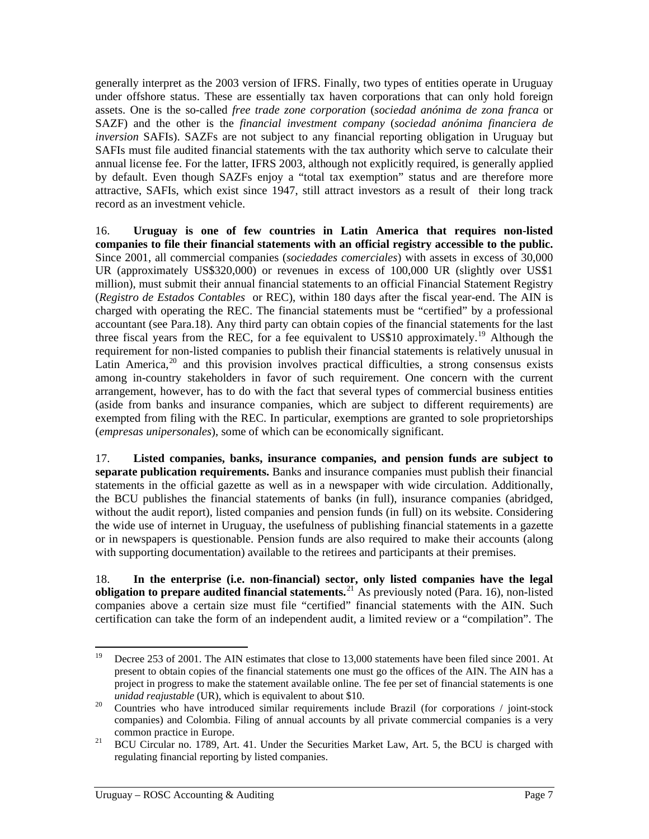<span id="page-13-0"></span>generally interpret as the 2003 version of IFRS. Finally, two types of entities operate in Uruguay under offshore status. These are essentially tax haven corporations that can only hold foreign assets. One is the so-called *free trade zone corporation* (*sociedad anónima de zona franca* or SAZF) and the other is the *financial investment company* (*sociedad anónima financiera de inversion* SAFIs). SAZFs are not subject to any financial reporting obligation in Uruguay but SAFIs must file audited financial statements with the tax authority which serve to calculate their annual license fee. For the latter, IFRS 2003, although not explicitly required, is generally applied by default. Even though SAZFs enjoy a "total tax exemption" status and are therefore more attractive, SAFIs, which exist since 1947, still attract investors as a result of their long track record as an investment vehicle.

<span id="page-13-1"></span>16. **Uruguay is one of few countries in Latin America that requires non-listed companies to file their financial statements with an official registry accessible to the public.**  Since 2001, all commercial companies (*sociedades comerciales*) with assets in excess of 30,000 UR (approximately US\$320,000) or revenues in excess of 100,000 UR (slightly over US\$1 million), must submit their annual financial statements to an official Financial Statement Registry (*Registro de Estados Contables* or REC), within 180 days after the fiscal year-end. The AIN is charged with operating the REC. The financial statements must be "certified" by a professional accountant (see Para.[18\)](#page-14-0). Any third party can obtain copies of the financial statements for the last three fiscal years from the REC, for a fee equivalent to US\$10 approximately.<sup>[19](#page-13-0)</sup> Although the requirement for non-listed companies to publish their financial statements is relatively unusual in Latin America,  $20$  and this provision involves practical difficulties, a strong consensus exists among in-country stakeholders in favor of such requirement. One concern with the current arrangement, however, has to do with the fact that several types of commercial business entities (aside from banks and insurance companies, which are subject to different requirements) are exempted from filing with the REC. In particular, exemptions are granted to sole proprietorships (*empresas unipersonales*), some of which can be economically significant.

<span id="page-13-2"></span>17. **Listed companies, banks, insurance companies, and pension funds are subject to separate publication requirements.** Banks and insurance companies must publish their financial statements in the official gazette as well as in a newspaper with wide circulation. Additionally, the BCU publishes the financial statements of banks (in full), insurance companies (abridged, without the audit report), listed companies and pension funds (in full) on its website. Considering the wide use of internet in Uruguay, the usefulness of publishing financial statements in a gazette or in newspapers is questionable. Pension funds are also required to make their accounts (along with supporting documentation) available to the retirees and participants at their premises.

18. **In the enterprise (i.e. non-financial) sector, only listed companies have the legal obligation to prepare audited financial statements.**[21](#page-13-0) As previously noted (Para. [16\)](#page-13-1), non-listed companies above a certain size must file "certified" financial statements with the AIN. Such certification can take the form of an independent audit, a limited review or a "compilation". The

<sup>19</sup> 19 Decree 253 of 2001. The AIN estimates that close to 13,000 statements have been filed since 2001. At present to obtain copies of the financial statements one must go the offices of the AIN. The AIN has a project in progress to make the statement available online. The fee per set of financial statements is one

*unidad reajustable* (UR), which is equivalent to about \$10.<br><sup>20</sup> Countries who have introduced similar requirements include Brazil (for corporations / joint-stock companies) and Colombia. Filing of annual accounts by all private commercial companies is a very

common practice in Europe.<br><sup>21</sup> BCU Circular no. 1789, Art. 41. Under the Securities Market Law, Art. 5, the BCU is charged with regulating financial reporting by listed companies.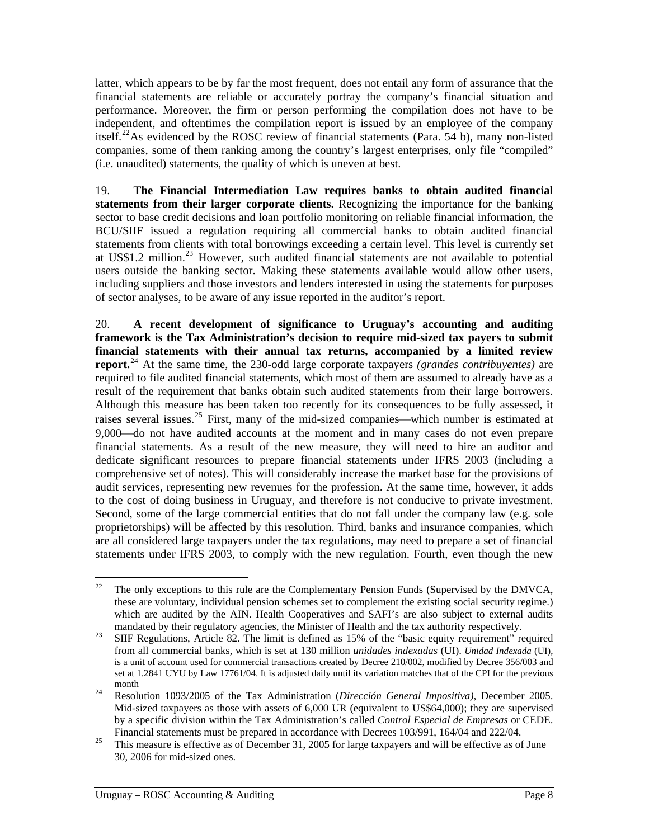<span id="page-14-1"></span>latter, which appears to be by far the most frequent, does not entail any form of assurance that the financial statements are reliable or accurately portray the company's financial situation and performance. Moreover, the firm or person performing the compilation does not have to be independent, and oftentimes the compilation report is issued by an employee of the company itself.<sup>[22](#page-14-1)</sup>As evidenced by the ROSC review of financial statements (Para. [54](#page-28-1) [b\)](#page-28-2), many non-listed companies, some of them ranking among the country's largest enterprises, only file "compiled" (i.e. unaudited) statements, the quality of which is uneven at best.

19. **The Financial Intermediation Law requires banks to obtain audited financial statements from their larger corporate clients.** Recognizing the importance for the banking sector to base credit decisions and loan portfolio monitoring on reliable financial information, the BCU/SIIF issued a regulation requiring all commercial banks to obtain audited financial statements from clients with total borrowings exceeding a certain level. This level is currently set at US\$1.2 million.<sup>[23](#page-14-1)</sup> However, such audited financial statements are not available to potential users outside the banking sector. Making these statements available would allow other users, including suppliers and those investors and lenders interested in using the statements for purposes of sector analyses, to be aware of any issue reported in the auditor's report.

20. **A recent development of significance to Uruguay's accounting and auditing framework is the Tax Administration's decision to require mid-sized tax payers to submit financial statements with their annual tax returns, accompanied by a limited review report.**[24](#page-14-1) At the same time, the 230-odd large corporate taxpayers *(grandes contribuyentes)* are required to file audited financial statements, which most of them are assumed to already have as a result of the requirement that banks obtain such audited statements from their large borrowers. Although this measure has been taken too recently for its consequences to be fully assessed, it raises several issues.<sup>[25](#page-14-1)</sup> First, many of the mid-sized companies—which number is estimated at 9,000—do not have audited accounts at the moment and in many cases do not even prepare financial statements. As a result of the new measure, they will need to hire an auditor and dedicate significant resources to prepare financial statements under IFRS 2003 (including a comprehensive set of notes). This will considerably increase the market base for the provisions of audit services, representing new revenues for the profession. At the same time, however, it adds to the cost of doing business in Uruguay, and therefore is not conducive to private investment. Second, some of the large commercial entities that do not fall under the company law (e.g. sole proprietorships) will be affected by this resolution. Third, banks and insurance companies, which are all considered large taxpayers under the tax regulations, may need to prepare a set of financial statements under IFRS 2003, to comply with the new regulation. Fourth, even though the new

<span id="page-14-0"></span> $22$ 22 The only exceptions to this rule are the Complementary Pension Funds (Supervised by the DMVCA, these are voluntary, individual pension schemes set to complement the existing social security regime.) which are audited by the AIN. Health Cooperatives and SAFI's are also subject to external audits

mandated by their regulatory agencies, the Minister of Health and the tax authority respectively.<br><sup>23</sup> SIIF Regulations, Article 82. The limit is defined as 15% of the "basic equity requirement" required from all commercial banks, which is set at 130 million *unidades indexadas* (UI). *Unidad Indexada* (UI), is a unit of account used for commercial transactions created by Decree 210/002, modified by Decree 356/003 and set at 1.2841 UYU by Law 17761/04. It is adjusted daily until its variation matches that of the CPI for the previous month 24 Resolution 1093/2005 of the Tax Administration (*Dirección General Impositiva),* December 2005.

Mid-sized taxpayers as those with assets of 6,000 UR (equivalent to US\$64,000); they are supervised by a specific division within the Tax Administration's called *Control Especial de Empresas* or CEDE.

Financial statements must be prepared in accordance with Decrees 103/991, 164/04 and 222/04.<br><sup>25</sup> This measure is effective as of December 31, 2005 for large taxpayers and will be effective as of June 30, 2006 for mid-sized ones.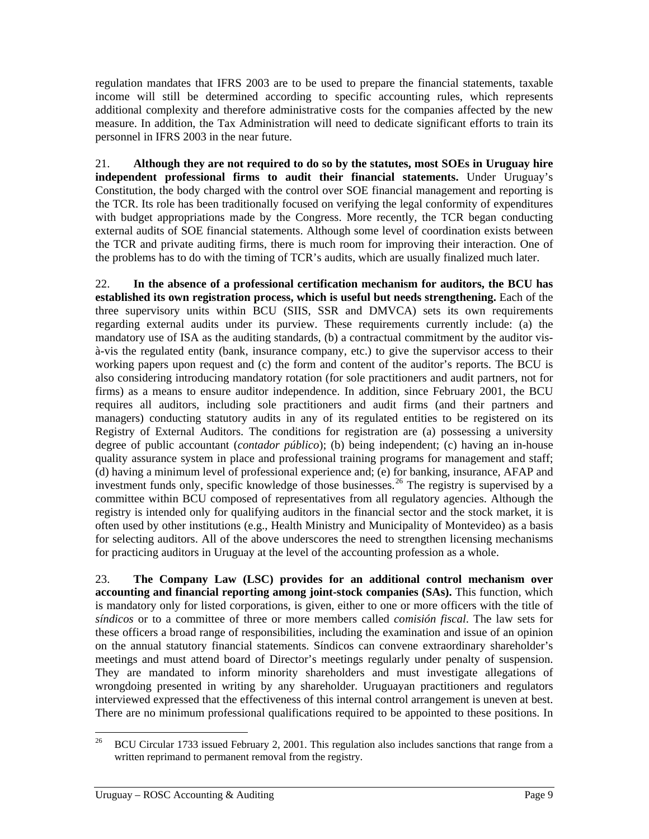<span id="page-15-0"></span>regulation mandates that IFRS 2003 are to be used to prepare the financial statements, taxable income will still be determined according to specific accounting rules, which represents additional complexity and therefore administrative costs for the companies affected by the new measure. In addition, the Tax Administration will need to dedicate significant efforts to train its personnel in IFRS 2003 in the near future.

21. **Although they are not required to do so by the statutes, most SOEs in Uruguay hire independent professional firms to audit their financial statements.** Under Uruguay's Constitution, the body charged with the control over SOE financial management and reporting is the TCR. Its role has been traditionally focused on verifying the legal conformity of expenditures with budget appropriations made by the Congress. More recently, the TCR began conducting external audits of SOE financial statements. Although some level of coordination exists between the TCR and private auditing firms, there is much room for improving their interaction. One of the problems has to do with the timing of TCR's audits, which are usually finalized much later.

22. **In the absence of a professional certification mechanism for auditors, the BCU has established its own registration process, which is useful but needs strengthening.** Each of the three supervisory units within BCU (SIIS, SSR and DMVCA) sets its own requirements regarding external audits under its purview. These requirements currently include: (a) the mandatory use of ISA as the auditing standards, (b) a contractual commitment by the auditor visà-vis the regulated entity (bank, insurance company, etc.) to give the supervisor access to their working papers upon request and (c) the form and content of the auditor's reports. The BCU is also considering introducing mandatory rotation (for sole practitioners and audit partners, not for firms) as a means to ensure auditor independence. In addition, since February 2001, the BCU requires all auditors, including sole practitioners and audit firms (and their partners and managers) conducting statutory audits in any of its regulated entities to be registered on its Registry of External Auditors. The conditions for registration are (a) possessing a university degree of public accountant (*contador público*); (b) being independent; (c) having an in-house quality assurance system in place and professional training programs for management and staff; (d) having a minimum level of professional experience and; (e) for banking, insurance, AFAP and investment funds only, specific knowledge of those businesses.<sup>[26](#page-15-0)</sup> The registry is supervised by a committee within BCU composed of representatives from all regulatory agencies. Although the registry is intended only for qualifying auditors in the financial sector and the stock market, it is often used by other institutions (e.g., Health Ministry and Municipality of Montevideo) as a basis for selecting auditors. All of the above underscores the need to strengthen licensing mechanisms for practicing auditors in Uruguay at the level of the accounting profession as a whole.

23. **The Company Law (LSC) provides for an additional control mechanism over accounting and financial reporting among joint-stock companies (SAs).** This function, which is mandatory only for listed corporations, is given, either to one or more officers with the title of *síndicos* or to a committee of three or more members called *comisión fiscal*. The law sets for these officers a broad range of responsibilities, including the examination and issue of an opinion on the annual statutory financial statements. Síndicos can convene extraordinary shareholder's meetings and must attend board of Director's meetings regularly under penalty of suspension. They are mandated to inform minority shareholders and must investigate allegations of wrongdoing presented in writing by any shareholder. Uruguayan practitioners and regulators interviewed expressed that the effectiveness of this internal control arrangement is uneven at best. There are no minimum professional qualifications required to be appointed to these positions. In

 $26\,$ 26 BCU Circular 1733 issued February 2, 2001. This regulation also includes sanctions that range from a written reprimand to permanent removal from the registry.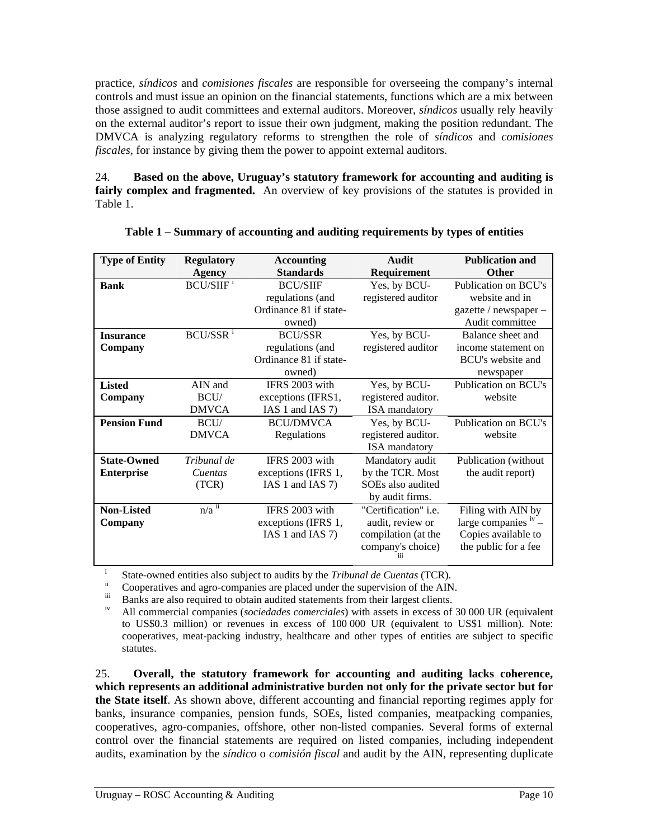practice, *síndicos* and *comisiones fiscales* are responsible for overseeing the company's internal controls and must issue an opinion on the financial statements, functions which are a mix between those assigned to audit committees and external auditors. Moreover, *síndicos* usually rely heavily on the external auditor's report to issue their own judgment, making the position redundant. The DMVCA is analyzing regulatory reforms to strengthen the role of *síndicos* and *comisiones fiscales*, for instance by giving them the power to appoint external auditors.

24. **Based on the above, Uruguay's statutory framework for accounting and auditing is fairly complex and fragmented.** An overview of key provisions of the statutes is provided in Table 1.

| <b>Type of Entity</b> | <b>Regulatory</b>            | <b>Accounting</b>      | Audit                       | <b>Publication and</b> |
|-----------------------|------------------------------|------------------------|-----------------------------|------------------------|
|                       | Agency                       | <b>Standards</b>       | Requirement                 | <b>Other</b>           |
| <b>Bank</b>           | <b>BCU/SIIF</b> <sup>i</sup> | <b>BCU/SIIF</b>        | Yes, by BCU-                | Publication on BCU's   |
|                       |                              | regulations (and       | registered auditor          | website and in         |
|                       |                              | Ordinance 81 if state- |                             | gazette / newspaper -  |
|                       |                              | owned)                 |                             | Audit committee        |
| <b>Insurance</b>      | BCU/SSR <sup>i</sup>         | <b>BCU/SSR</b>         | Yes, by BCU-                | Balance sheet and      |
| Company               |                              | regulations (and       | registered auditor          | income statement on    |
|                       |                              | Ordinance 81 if state- |                             | BCU's website and      |
|                       |                              | owned)                 |                             | newspaper              |
| <b>Listed</b>         | AIN and                      | IFRS 2003 with         | Yes, by BCU-                | Publication on BCU's   |
| Company               | BCU/                         | exceptions (IFRS1,     | registered auditor.         | website                |
|                       | <b>DMVCA</b>                 | IAS 1 and IAS 7)       | <b>ISA</b> mandatory        |                        |
| <b>Pension Fund</b>   | BCU/                         | <b>BCU/DMVCA</b>       | Yes, by BCU-                | Publication on BCU's   |
|                       | <b>DMVCA</b>                 | Regulations            | registered auditor.         | website                |
|                       |                              |                        | <b>ISA</b> mandatory        |                        |
| <b>State-Owned</b>    | Tribunal de                  | IFRS 2003 with         | Mandatory audit             | Publication (without   |
| <b>Enterprise</b>     | Cuentas                      | exceptions (IFRS 1,    | by the TCR. Most            | the audit report)      |
|                       | (TCR)                        | IAS 1 and IAS 7)       | SOEs also audited           |                        |
|                       |                              |                        | by audit firms.             |                        |
| <b>Non-Listed</b>     | $n/a$ <sup>ii</sup>          | IFRS 2003 with         | "Certification" <i>i.e.</i> | Filing with AIN by     |
| Company               |                              | exceptions (IFRS 1,    | audit, review or            | large companies $v -$  |
|                       |                              | IAS 1 and IAS 7)       | compilation (at the         | Copies available to    |
|                       |                              |                        | company's choice)           | the public for a fee   |

|  |  | Table 1 - Summary of accounting and auditing requirements by types of entities |  |
|--|--|--------------------------------------------------------------------------------|--|
|  |  |                                                                                |  |

<span id="page-16-2"></span><span id="page-16-1"></span><span id="page-16-0"></span><sup>i</sup><br>State-owned entities also subject to audits by the *Tribunal de Cuentas* (TCR).<br>
<sup>ii</sup> Cooperatives and agro-companies are placed under the supervision of the AIN.<br>
Banks are also required to obtain audited statements

<span id="page-16-3"></span>All commercial companies (*sociedades comerciales*) with assets in excess of 30 000 UR (equivalent to US\$0.3 million) or revenues in excess of 100 000 UR (equivalent to US\$1 million). Note: cooperatives, meat-packing industry, healthcare and other types of entities are subject to specific statutes.

25. **Overall, the statutory framework for accounting and auditing lacks coherence, which represents an additional administrative burden not only for the private sector but for the State itself**. As shown above, different accounting and financial reporting regimes apply for banks, insurance companies, pension funds, SOEs, listed companies, meatpacking companies, cooperatives, agro-companies, offshore, other non-listed companies. Several forms of external control over the financial statements are required on listed companies, including independent audits, examination by the *síndico* o *comisión fiscal* and audit by the AIN, representing duplicate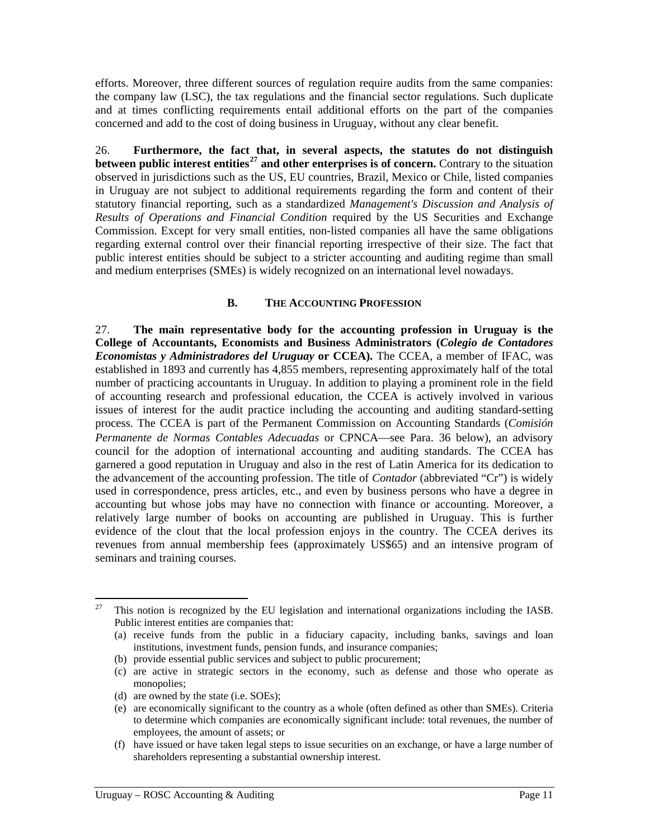<span id="page-17-0"></span>efforts. Moreover, three different sources of regulation require audits from the same companies: the company law (LSC), the tax regulations and the financial sector regulations. Such duplicate and at times conflicting requirements entail additional efforts on the part of the companies concerned and add to the cost of doing business in Uruguay, without any clear benefit.

26. **Furthermore, the fact that, in several aspects, the statutes do not distinguish between public interest entities[27](#page-17-0) and other enterprises is of concern.** Contrary to the situation observed in jurisdictions such as the US, EU countries, Brazil, Mexico or Chile, listed companies in Uruguay are not subject to additional requirements regarding the form and content of their statutory financial reporting, such as a standardized *Management's Discussion and Analysis of Results of Operations and Financial Condition* required by the US Securities and Exchange Commission. Except for very small entities, non-listed companies all have the same obligations regarding external control over their financial reporting irrespective of their size. The fact that public interest entities should be subject to a stricter accounting and auditing regime than small and medium enterprises (SMEs) is widely recognized on an international level nowadays.

#### **B. THE ACCOUNTING PROFESSION**

27. **The main representative body for the accounting profession in Uruguay is the College of Accountants, Economists and Business Administrators (***Colegio de Contadores Economistas y Administradores del Uruguay* **or CCEA).** The CCEA, a member of IFAC, was established in 1893 and currently has 4,855 members, representing approximately half of the total number of practicing accountants in Uruguay. In addition to playing a prominent role in the field of accounting research and professional education, the CCEA is actively involved in various issues of interest for the audit practice including the accounting and auditing standard-setting process. The CCEA is part of the Permanent Commission on Accounting Standards (*Comisión Permanente de Normas Contables Adecuadas* or CPNCA—see Para. [36 below](#page-20-0)), an advisory council for the adoption of international accounting and auditing standards. The CCEA has garnered a good reputation in Uruguay and also in the rest of Latin America for its dedication to the advancement of the accounting profession. The title of *Contador* (abbreviated "Cr") is widely used in correspondence, press articles, etc., and even by business persons who have a degree in accounting but whose jobs may have no connection with finance or accounting. Moreover, a relatively large number of books on accounting are published in Uruguay. This is further evidence of the clout that the local profession enjoys in the country. The CCEA derives its revenues from annual membership fees (approximately US\$65) and an intensive program of seminars and training courses.

<sup>27</sup> 27 This notion is recognized by the EU legislation and international organizations including the IASB. Public interest entities are companies that:

<sup>(</sup>a) receive funds from the public in a fiduciary capacity, including banks, savings and loan institutions, investment funds, pension funds, and insurance companies;

<sup>(</sup>b) provide essential public services and subject to public procurement;

<sup>(</sup>c) are active in strategic sectors in the economy, such as defense and those who operate as monopolies;

<sup>(</sup>d) are owned by the state (i.e. SOEs);

<sup>(</sup>e) are economically significant to the country as a whole (often defined as other than SMEs). Criteria to determine which companies are economically significant include: total revenues, the number of employees, the amount of assets; or

<sup>(</sup>f) have issued or have taken legal steps to issue securities on an exchange, or have a large number of shareholders representing a substantial ownership interest.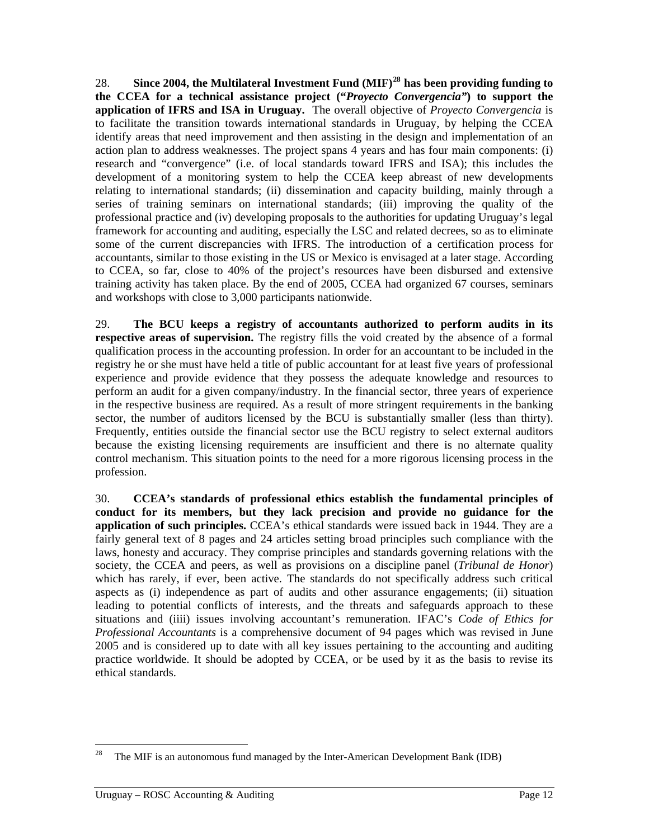<span id="page-18-0"></span>28. **Since 2004, the Multilateral Investment Fund (MIF)[28](#page-18-0) has been providing funding to the CCEA for a technical assistance project ("***Proyecto Convergencia"***) to support the application of IFRS and ISA in Uruguay.** The overall objective of *Proyecto Convergencia* is to facilitate the transition towards international standards in Uruguay, by helping the CCEA identify areas that need improvement and then assisting in the design and implementation of an action plan to address weaknesses. The project spans 4 years and has four main components: (i) research and "convergence" (i.e. of local standards toward IFRS and ISA); this includes the development of a monitoring system to help the CCEA keep abreast of new developments relating to international standards; (ii) dissemination and capacity building, mainly through a series of training seminars on international standards; (iii) improving the quality of the professional practice and (iv) developing proposals to the authorities for updating Uruguay's legal framework for accounting and auditing, especially the LSC and related decrees, so as to eliminate some of the current discrepancies with IFRS. The introduction of a certification process for accountants, similar to those existing in the US or Mexico is envisaged at a later stage. According to CCEA, so far, close to 40% of the project's resources have been disbursed and extensive training activity has taken place. By the end of 2005, CCEA had organized 67 courses, seminars and workshops with close to 3,000 participants nationwide.

29. **The BCU keeps a registry of accountants authorized to perform audits in its respective areas of supervision.** The registry fills the void created by the absence of a formal qualification process in the accounting profession. In order for an accountant to be included in the registry he or she must have held a title of public accountant for at least five years of professional experience and provide evidence that they possess the adequate knowledge and resources to perform an audit for a given company/industry. In the financial sector, three years of experience in the respective business are required. As a result of more stringent requirements in the banking sector, the number of auditors licensed by the BCU is substantially smaller (less than thirty). Frequently, entities outside the financial sector use the BCU registry to select external auditors because the existing licensing requirements are insufficient and there is no alternate quality control mechanism. This situation points to the need for a more rigorous licensing process in the profession.

30. **CCEA's standards of professional ethics establish the fundamental principles of conduct for its members, but they lack precision and provide no guidance for the application of such principles.** CCEA's ethical standards were issued back in 1944. They are a fairly general text of 8 pages and 24 articles setting broad principles such compliance with the laws, honesty and accuracy. They comprise principles and standards governing relations with the society, the CCEA and peers, as well as provisions on a discipline panel (*Tribunal de Honor*) which has rarely, if ever, been active. The standards do not specifically address such critical aspects as (i) independence as part of audits and other assurance engagements; (ii) situation leading to potential conflicts of interests, and the threats and safeguards approach to these situations and (iiii) issues involving accountant's remuneration. IFAC's *Code of Ethics for Professional Accountants* is a comprehensive document of 94 pages which was revised in June 2005 and is considered up to date with all key issues pertaining to the accounting and auditing practice worldwide. It should be adopted by CCEA, or be used by it as the basis to revise its ethical standards.

<sup>28</sup> The MIF is an autonomous fund managed by the Inter-American Development Bank (IDB)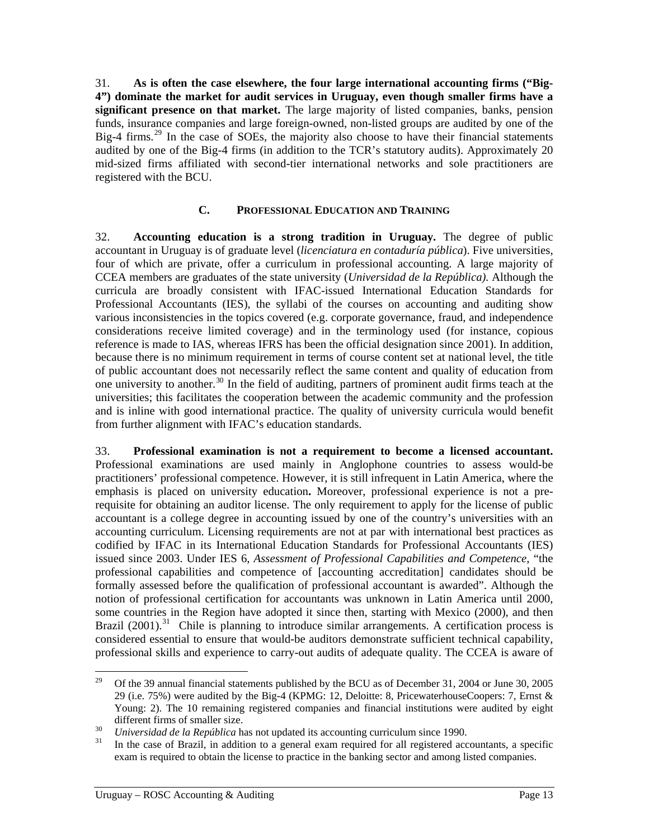<span id="page-19-0"></span>31. **As is often the case elsewhere, the four large international accounting firms ("Big-4") dominate the market for audit services in Uruguay, even though smaller firms have a significant presence on that market.** The large majority of listed companies, banks, pension funds, insurance companies and large foreign-owned, non-listed groups are audited by one of the Big-4 firms.<sup>[29](#page-19-0)</sup> In the case of SOEs, the majority also choose to have their financial statements audited by one of the Big-4 firms (in addition to the TCR's statutory audits). Approximately 20 mid-sized firms affiliated with second-tier international networks and sole practitioners are registered with the BCU.

### **C. PROFESSIONAL EDUCATION AND TRAINING**

32. **Accounting education is a strong tradition in Uruguay.** The degree of public accountant in Uruguay is of graduate level (*licenciatura en contaduría pública*). Five universities, four of which are private, offer a curriculum in professional accounting. A large majority of CCEA members are graduates of the state university (*Universidad de la República).* Although the curricula are broadly consistent with IFAC-issued International Education Standards for Professional Accountants (IES), the syllabi of the courses on accounting and auditing show various inconsistencies in the topics covered (e.g. corporate governance, fraud, and independence considerations receive limited coverage) and in the terminology used (for instance, copious reference is made to IAS, whereas IFRS has been the official designation since 2001). In addition, because there is no minimum requirement in terms of course content set at national level, the title of public accountant does not necessarily reflect the same content and quality of education from one university to another.<sup>[30](#page-19-0)</sup> In the field of auditing, partners of prominent audit firms teach at the universities; this facilitates the cooperation between the academic community and the profession and is inline with good international practice. The quality of university curricula would benefit from further alignment with IFAC's education standards.

33. **Professional examination is not a requirement to become a licensed accountant.**  Professional examinations are used mainly in Anglophone countries to assess would-be practitioners' professional competence. However, it is still infrequent in Latin America, where the emphasis is placed on university education**.** Moreover, professional experience is not a prerequisite for obtaining an auditor license. The only requirement to apply for the license of public accountant is a college degree in accounting issued by one of the country's universities with an accounting curriculum. Licensing requirements are not at par with international best practices as codified by IFAC in its International Education Standards for Professional Accountants (IES) issued since 2003. Under IES 6, *Assessment of Professional Capabilities and Competence*, "the professional capabilities and competence of [accounting accreditation] candidates should be formally assessed before the qualification of professional accountant is awarded". Although the notion of professional certification for accountants was unknown in Latin America until 2000, some countries in the Region have adopted it since then, starting with Mexico (2000), and then Brazil  $(2001)$ .<sup>[31](#page-19-0)</sup> Chile is planning to introduce similar arrangements. A certification process is considered essential to ensure that would-be auditors demonstrate sufficient technical capability, professional skills and experience to carry-out audits of adequate quality. The CCEA is aware of

<sup>29</sup> 29 Of the 39 annual financial statements published by the BCU as of December 31, 2004 or June 30, 2005 29 (i.e. 75%) were audited by the Big-4 (KPMG: 12, Deloitte: 8, PricewaterhouseCoopers: 7, Ernst & Young: 2). The 10 remaining registered companies and financial institutions were audited by eight different firms of smaller size.<br> *Universidad de la República* has not updated its accounting curriculum since 1990.<br>
In the case of Brazil, in addition to a general exam required for all registered accountants, a specifi

exam is required to obtain the license to practice in the banking sector and among listed companies.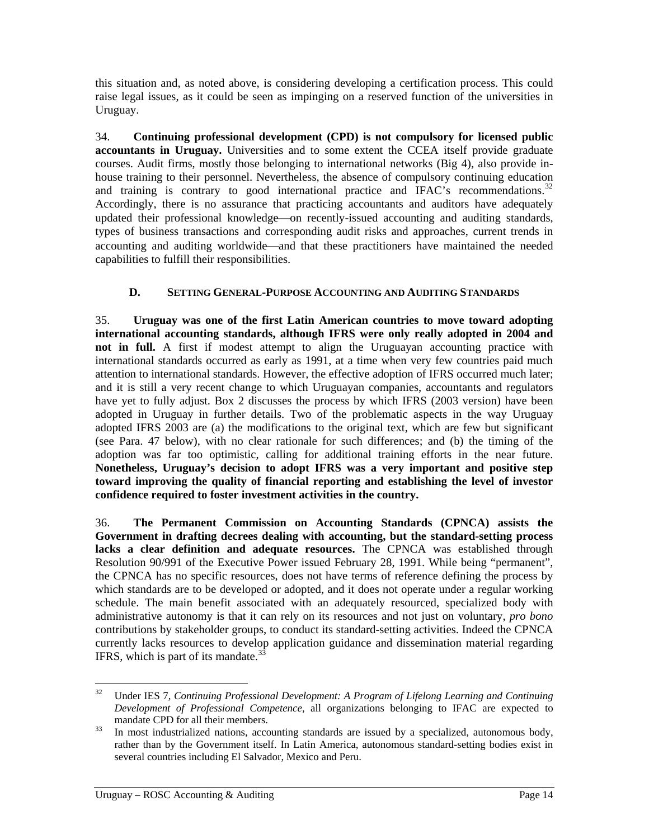<span id="page-20-1"></span>this situation and, as noted above, is considering developing a certification process. This could raise legal issues, as it could be seen as impinging on a reserved function of the universities in Uruguay.

34. **Continuing professional development (CPD) is not compulsory for licensed public accountants in Uruguay.** Universities and to some extent the CCEA itself provide graduate courses. Audit firms, mostly those belonging to international networks (Big 4), also provide inhouse training to their personnel. Nevertheless, the absence of compulsory continuing education and training is contrary to good international practice and IFAC's recommendations.<sup>[32](#page-20-1)</sup> Accordingly, there is no assurance that practicing accountants and auditors have adequately updated their professional knowledge—on recently-issued accounting and auditing standards, types of business transactions and corresponding audit risks and approaches, current trends in accounting and auditing worldwide—and that these practitioners have maintained the needed capabilities to fulfill their responsibilities.

### **D. SETTING GENERAL-PURPOSE ACCOUNTING AND AUDITING STANDARDS**

35. **Uruguay was one of the first Latin American countries to move toward adopting international accounting standards, although IFRS were only really adopted in 2004 and not in full.** A first if modest attempt to align the Uruguayan accounting practice with international standards occurred as early as 1991, at a time when very few countries paid much attention to international standards. However, the effective adoption of IFRS occurred much later; and it is still a very recent change to which Uruguayan companies, accountants and regulators have yet to fully adjust. [Box 2](#page-21-1) discusses the process by which IFRS (2003 version) have been adopted in Uruguay in further details. Two of the problematic aspects in the way Uruguay adopted IFRS 2003 are (a) the modifications to the original text, which are few but significant (see Para. [47 below\)](#page-24-0), with no clear rationale for such differences; and (b) the timing of the adoption was far too optimistic, calling for additional training efforts in the near future. **Nonetheless, Uruguay's decision to adopt IFRS was a very important and positive step toward improving the quality of financial reporting and establishing the level of investor confidence required to foster investment activities in the country.**

<span id="page-20-0"></span>36. **The Permanent Commission on Accounting Standards (CPNCA) assists the Government in drafting decrees dealing with accounting, but the standard-setting process lacks a clear definition and adequate resources.** The CPNCA was established through Resolution 90/991 of the Executive Power issued February 28, 1991. While being "permanent", the CPNCA has no specific resources, does not have terms of reference defining the process by which standards are to be developed or adopted, and it does not operate under a regular working schedule. The main benefit associated with an adequately resourced, specialized body with administrative autonomy is that it can rely on its resources and not just on voluntary, *pro bono* contributions by stakeholder groups, to conduct its standard-setting activities. Indeed the CPNCA currently lacks resources to develop application guidance and dissemination material regarding IFRS, which is part of its mandate. $3$ 

 $32$ 32 Under IES 7, *Continuing Professional Development: A Program of Lifelong Learning and Continuing Development of Professional Competence*, all organizations belonging to IFAC are expected to mandate CPD for all their members.<br><sup>33</sup> In most industrialized nations, accounting standards are issued by a specialized, autonomous body,

rather than by the Government itself. In Latin America, autonomous standard-setting bodies exist in several countries including El Salvador, Mexico and Peru.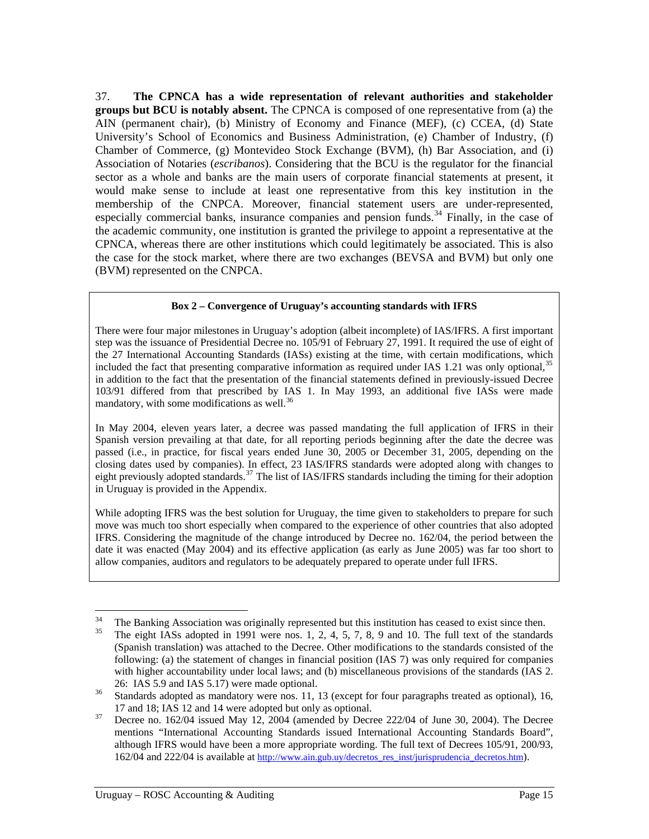<span id="page-21-2"></span>37. **The CPNCA has a wide representation of relevant authorities and stakeholder groups but BCU is notably absent.** The CPNCA is composed of one representative from (a) the AIN (permanent chair), (b) Ministry of Economy and Finance (MEF), (c) CCEA, (d) State University's School of Economics and Business Administration, (e) Chamber of Industry, (f) Chamber of Commerce, (g) Montevideo Stock Exchange (BVM), (h) Bar Association, and (i) Association of Notaries (*escribanos*). Considering that the BCU is the regulator for the financial sector as a whole and banks are the main users of corporate financial statements at present, it would make sense to include at least one representative from this key institution in the membership of the CNPCA. Moreover, financial statement users are under-represented, especially commercial banks, insurance companies and pension funds.<sup>[34](#page-21-2)</sup> Finally, in the case of the academic community, one institution is granted the privilege to appoint a representative at the CPNCA, whereas there are other institutions which could legitimately be associated. This is also the case for the stock market, where there are two exchanges (BEVSA and BVM) but only one (BVM) represented on the CNPCA.

#### **Box 2 – Convergence of Uruguay's accounting standards with IFRS**

<span id="page-21-1"></span><span id="page-21-0"></span>There were four major milestones in Uruguay's adoption (albeit incomplete) of IAS/IFRS. A first important step was the issuance of Presidential Decree no. 105/91 of February 27, 1991. It required the use of eight of the 27 International Accounting Standards (IASs) existing at the time, with certain modifications, which included the fact that presenting comparative information as required under IAS 1.21 was only optional,  $35$ in addition to the fact that the presentation of the financial statements defined in previously-issued Decree 103/91 differed from that prescribed by IAS 1. In May 1993, an additional five IASs were made mandatory, with some modifications as well.<sup>[36](#page-21-2)</sup>

In May 2004, eleven years later, a decree was passed mandating the full application of IFRS in their Spanish version prevailing at that date, for all reporting periods beginning after the date the decree was passed (i.e., in practice, for fiscal years ended June 30, 2005 or December 31, 2005, depending on the closing dates used by companies). In effect, 23 IAS/IFRS standards were adopted along with changes to eight previously adopted standards.<sup>[37](#page-21-2)</sup> The list of IAS/IFRS standards including the timing for their adoption in Uruguay is provided in the [Appendix](#page-43-0).

While adopting IFRS was the best solution for Uruguay, the time given to stakeholders to prepare for such move was much too short especially when compared to the experience of other countries that also adopted IFRS. Considering the magnitude of the change introduced by Decree no. 162/04, the period between the date it was enacted (May 2004) and its effective application (as early as June 2005) was far too short to allow companies, auditors and regulators to be adequately prepared to operate under full IFRS.

 $34$ <sup>34</sup> The Banking Association was originally represented but this institution has ceased to exist since then.<br><sup>35</sup> The eight IASs adopted in 1991 were nos. 1, 2, 4, 5, 7, 8, 9 and 10. The full text of the standards

<sup>(</sup>Spanish translation) was attached to the Decree. Other modifications to the standards consisted of the following: (a) the statement of changes in financial position (IAS 7) was only required for companies with higher accountability under local laws; and (b) miscellaneous provisions of the standards (IAS 2. 26: IAS 5.9 and IAS 5.17) were made optional.<br><sup>36</sup> Standards adopted as mandatory were nos. 11, 13 (except for four paragraphs treated as optional), 16,

<sup>17</sup> and 18; IAS 12 and 14 were adopted but only as optional. 37 Decree no. 162/04 issued May 12, 2004 (amended by Decree 222/04 of June 30, 2004). The Decree mentions "International Accounting Standards issued International Accounting Standards Board", although IFRS would have been a more appropriate wording. The full text of Decrees 105/91, 200/93, 162/04 and 222/04 is available at [http://www.ain.gub.uy/decretos\\_res\\_inst/jurisprudencia\\_decretos.htm\)](http://www.ain.gub.uy/decretos_res_inst/jurisprudencia_decretos.htm).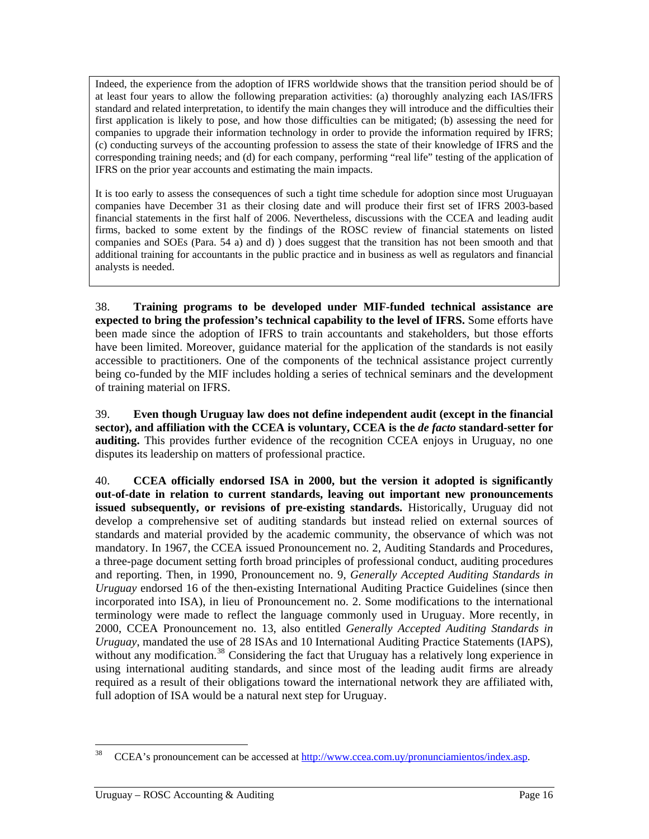<span id="page-22-0"></span>Indeed, the experience from the adoption of IFRS worldwide shows that the transition period should be of at least four years to allow the following preparation activities: (a) thoroughly analyzing each IAS/IFRS standard and related interpretation, to identify the main changes they will introduce and the difficulties their first application is likely to pose, and how those difficulties can be mitigated; (b) assessing the need for companies to upgrade their information technology in order to provide the information required by IFRS; (c) conducting surveys of the accounting profession to assess the state of their knowledge of IFRS and the corresponding training needs; and (d) for each company, performing "real life" testing of the application of IFRS on the prior year accounts and estimating the main impacts.

It is too early to assess the consequences of such a tight time schedule for adoption since most Uruguayan companies have December 31 as their closing date and will produce their first set of IFRS 2003-based financial statements in the first half of 2006. Nevertheless, discussions with the CCEA and leading audit firms, backed to some extent by the findings of the ROSC review of financial statements on listed companies and SOEs (Para. [54](#page-28-1) [a\)](#page-28-3) and [d\)](#page-28-4) ) does suggest that the transition has not been smooth and that additional training for accountants in the public practice and in business as well as regulators and financial analysts is needed.

38. **Training programs to be developed under MIF-funded technical assistance are expected to bring the profession's technical capability to the level of IFRS.** Some efforts have been made since the adoption of IFRS to train accountants and stakeholders, but those efforts have been limited. Moreover, guidance material for the application of the standards is not easily accessible to practitioners. One of the components of the technical assistance project currently being co-funded by the MIF includes holding a series of technical seminars and the development of training material on IFRS.

<span id="page-22-1"></span>39. **Even though Uruguay law does not define independent audit (except in the financial sector), and affiliation with the CCEA is voluntary, CCEA is the** *de facto* **standard-setter for auditing.** This provides further evidence of the recognition CCEA enjoys in Uruguay, no one disputes its leadership on matters of professional practice.

40. **CCEA officially endorsed ISA in 2000, but the version it adopted is significantly out-of-date in relation to current standards, leaving out important new pronouncements issued subsequently, or revisions of pre-existing standards.** Historically, Uruguay did not develop a comprehensive set of auditing standards but instead relied on external sources of standards and material provided by the academic community, the observance of which was not mandatory. In 1967, the CCEA issued Pronouncement no. 2, Auditing Standards and Procedures, a three-page document setting forth broad principles of professional conduct, auditing procedures and reporting. Then, in 1990, Pronouncement no. 9, *Generally Accepted Auditing Standards in Uruguay* endorsed 16 of the then-existing International Auditing Practice Guidelines (since then incorporated into ISA), in lieu of Pronouncement no. 2. Some modifications to the international terminology were made to reflect the language commonly used in Uruguay. More recently, in 2000, CCEA Pronouncement no. 13, also entitled *Generally Accepted Auditing Standards in Uruguay*, mandated the use of 28 ISAs and 10 International Auditing Practice Statements (IAPS), without any modification.<sup>[38](#page-22-0)</sup> Considering the fact that Uruguay has a relatively long experience in using international auditing standards, and since most of the leading audit firms are already required as a result of their obligations toward the international network they are affiliated with, full adoption of ISA would be a natural next step for Uruguay.

<sup>38</sup> 38 CCEA's pronouncement can be accessed at [http://www.ccea.com.uy/pronunciamientos/index.asp.](http://www.ccea.com.uy/pronunciamientos/index.asp)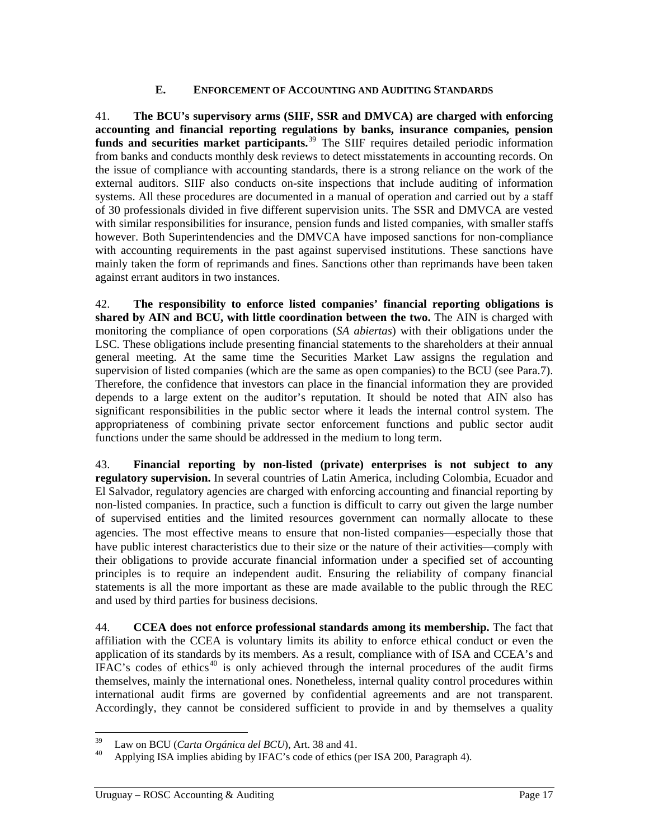#### **E. ENFORCEMENT OF ACCOUNTING AND AUDITING STANDARDS**

<span id="page-23-0"></span>41. **The BCU's supervisory arms (SIIF, SSR and DMVCA) are charged with enforcing accounting and financial reporting regulations by banks, insurance companies, pension**  funds and securities market participants.<sup>[39](#page-23-0)</sup> The SIIF requires detailed periodic information from banks and conducts monthly desk reviews to detect misstatements in accounting records. On the issue of compliance with accounting standards, there is a strong reliance on the work of the external auditors. SIIF also conducts on-site inspections that include auditing of information systems. All these procedures are documented in a manual of operation and carried out by a staff of 30 professionals divided in five different supervision units. The SSR and DMVCA are vested with similar responsibilities for insurance, pension funds and listed companies, with smaller staffs however. Both Superintendencies and the DMVCA have imposed sanctions for non-compliance with accounting requirements in the past against supervised institutions. These sanctions have mainly taken the form of reprimands and fines. Sanctions other than reprimands have been taken against errant auditors in two instances.

42. **The responsibility to enforce listed companies' financial reporting obligations is shared by AIN and BCU, with little coordination between the two.** The AIN is charged with monitoring the compliance of open corporations (*SA abiertas*) with their obligations under the LSC. These obligations include presenting financial statements to the shareholders at their annual general meeting. At the same time the Securities Market Law assigns the regulation and supervision of listed companies (which are the same as open companies) to the BCU (see Para.[7](#page-13-2)). Therefore, the confidence that investors can place in the financial information they are provided depends to a large extent on the auditor's reputation. It should be noted that AIN also has significant responsibilities in the public sector where it leads the internal control system. The appropriateness of combining private sector enforcement functions and public sector audit functions under the same should be addressed in the medium to long term.

43. **Financial reporting by non-listed (private) enterprises is not subject to any regulatory supervision.** In several countries of Latin America, including Colombia, Ecuador and El Salvador, regulatory agencies are charged with enforcing accounting and financial reporting by non-listed companies. In practice, such a function is difficult to carry out given the large number of supervised entities and the limited resources government can normally allocate to these agencies. The most effective means to ensure that non-listed companies—especially those that have public interest characteristics due to their size or the nature of their activities—comply with their obligations to provide accurate financial information under a specified set of accounting principles is to require an independent audit. Ensuring the reliability of company financial statements is all the more important as these are made available to the public through the REC and used by third parties for business decisions.

44. **CCEA does not enforce professional standards among its membership.** The fact that affiliation with the CCEA is voluntary limits its ability to enforce ethical conduct or even the application of its standards by its members. As a result, compliance with of ISA and CCEA's and IFAC's codes of ethics<sup>[40](#page-23-0)</sup> is only achieved through the internal procedures of the audit firms themselves, mainly the international ones. Nonetheless, internal quality control procedures within international audit firms are governed by confidential agreements and are not transparent. Accordingly, they cannot be considered sufficient to provide in and by themselves a quality

<sup>39</sup> 

<sup>&</sup>lt;sup>39</sup> Law on BCU (*Carta Orgánica del BCU*), Art. 38 and 41.<br><sup>40</sup> Applying ISA implies abiding by IFAC's code of ethics (per ISA 200, Paragraph 4).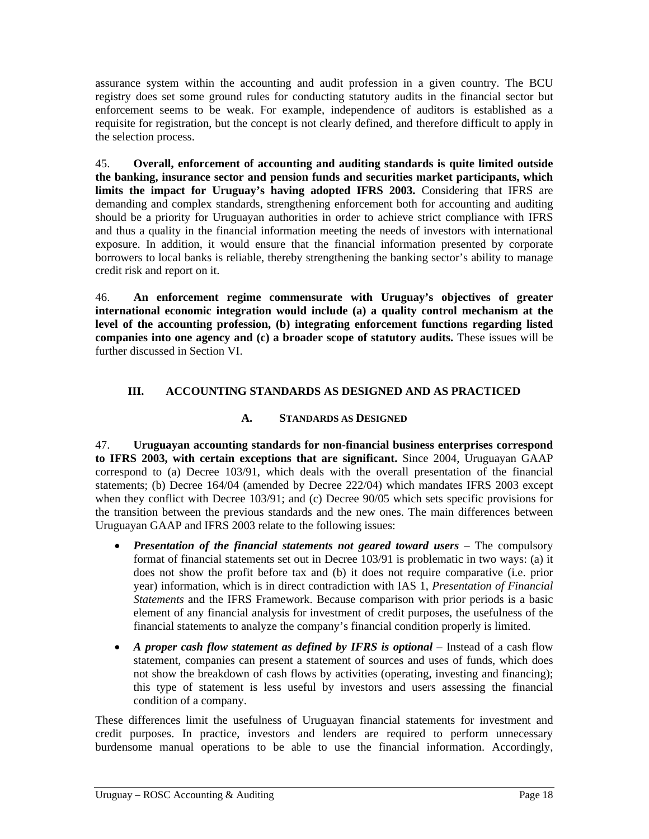assurance system within the accounting and audit profession in a given country. The BCU registry does set some ground rules for conducting statutory audits in the financial sector but enforcement seems to be weak. For example, independence of auditors is established as a requisite for registration, but the concept is not clearly defined, and therefore difficult to apply in the selection process.

45. **Overall, enforcement of accounting and auditing standards is quite limited outside the banking, insurance sector and pension funds and securities market participants, which limits the impact for Uruguay's having adopted IFRS 2003.** Considering that IFRS are demanding and complex standards, strengthening enforcement both for accounting and auditing should be a priority for Uruguayan authorities in order to achieve strict compliance with IFRS and thus a quality in the financial information meeting the needs of investors with international exposure. In addition, it would ensure that the financial information presented by corporate borrowers to local banks is reliable, thereby strengthening the banking sector's ability to manage credit risk and report on it.

46. **An enforcement regime commensurate with Uruguay's objectives of greater international economic integration would include (a) a quality control mechanism at the level of the accounting profession, (b) integrating enforcement functions regarding listed companies into one agency and (c) a broader scope of statutory audits.** These issues will be further discussed in Section VI.

## **III. ACCOUNTING STANDARDS AS DESIGNED AND AS PRACTICED**

#### **A. STANDARDS AS DESIGNED**

<span id="page-24-0"></span>47. **Uruguayan accounting standards for non-financial business enterprises correspond to IFRS 2003, with certain exceptions that are significant.** Since 2004, Uruguayan GAAP correspond to (a) Decree 103/91, which deals with the overall presentation of the financial statements; (b) Decree 164/04 (amended by Decree 222/04) which mandates IFRS 2003 except when they conflict with Decree 103/91; and (c) Decree 90/05 which sets specific provisions for the transition between the previous standards and the new ones. The main differences between Uruguayan GAAP and IFRS 2003 relate to the following issues:

- **Presentation of the financial statements not geared toward users The compulsory** format of financial statements set out in Decree 103/91 is problematic in two ways: (a) it does not show the profit before tax and (b) it does not require comparative (i.e. prior year) information, which is in direct contradiction with IAS 1, *Presentation of Financial Statements* and the IFRS Framework. Because comparison with prior periods is a basic element of any financial analysis for investment of credit purposes, the usefulness of the financial statements to analyze the company's financial condition properly is limited.
- <span id="page-24-1"></span>• *A proper cash flow statement as defined by IFRS is optional* – Instead of a cash flow statement, companies can present a statement of sources and uses of funds, which does not show the breakdown of cash flows by activities (operating, investing and financing); this type of statement is less useful by investors and users assessing the financial condition of a company.

These differences limit the usefulness of Uruguayan financial statements for investment and credit purposes. In practice, investors and lenders are required to perform unnecessary burdensome manual operations to be able to use the financial information. Accordingly,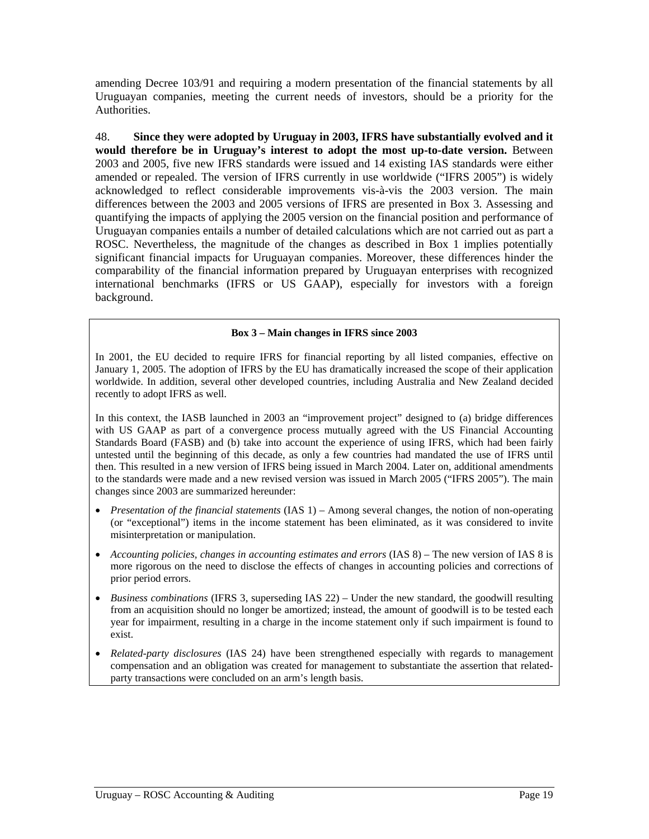amending Decree 103/91 and requiring a modern presentation of the financial statements by all Uruguayan companies, meeting the current needs of investors, should be a priority for the **Authorities** 

48. **Since they were adopted by Uruguay in 2003, IFRS have substantially evolved and it would therefore be in Uruguay's interest to adopt the most up-to-date version.** Between 2003 and 2005, five new IFRS standards were issued and 14 existing IAS standards were either amended or repealed. The version of IFRS currently in use worldwide ("IFRS 2005") is widely acknowledged to reflect considerable improvements vis-à-vis the 2003 version. The main differences between the 2003 and 2005 versions of IFRS are presented in [Box 3](#page-25-0). Assessing and quantifying the impacts of applying the 2005 version on the financial position and performance of Uruguayan companies entails a number of detailed calculations which are not carried out as part a ROSC. Nevertheless, the magnitude of the changes as described in Box 1 implies potentially significant financial impacts for Uruguayan companies. Moreover, these differences hinder the comparability of the financial information prepared by Uruguayan enterprises with recognized international benchmarks (IFRS or US GAAP), especially for investors with a foreign background.

#### . **Box 3 – Main changes in IFRS since 2003**

<span id="page-25-0"></span>In 2001, the EU decided to require IFRS for financial reporting by all listed companies, effective on January 1, 2005. The adoption of IFRS by the EU has dramatically increased the scope of their application worldwide. In addition, several other developed countries, including Australia and New Zealand decided recently to adopt IFRS as well.

In this context, the IASB launched in 2003 an "improvement project" designed to (a) bridge differences with US GAAP as part of a convergence process mutually agreed with the US Financial Accounting Standards Board (FASB) and (b) take into account the experience of using IFRS, which had been fairly untested until the beginning of this decade, as only a few countries had mandated the use of IFRS until then. This resulted in a new version of IFRS being issued in March 2004. Later on, additional amendments to the standards were made and a new revised version was issued in March 2005 ("IFRS 2005"). The main changes since 2003 are summarized hereunder:

- *Presentation of the financial statements* (IAS 1) Among several changes, the notion of non-operating (or "exceptional") items in the income statement has been eliminated, as it was considered to invite misinterpretation or manipulation.
- *Accounting policies, changes in accounting estimates and errors* (IAS 8) The new version of IAS 8 is more rigorous on the need to disclose the effects of changes in accounting policies and corrections of prior period errors.
- *Business combinations* (IFRS 3, superseding IAS 22) Under the new standard, the goodwill resulting from an acquisition should no longer be amortized; instead, the amount of goodwill is to be tested each year for impairment, resulting in a charge in the income statement only if such impairment is found to exist.
- *Related-party disclosures* (IAS 24) have been strengthened especially with regards to management compensation and an obligation was created for management to substantiate the assertion that relatedparty transactions were concluded on an arm's length basis.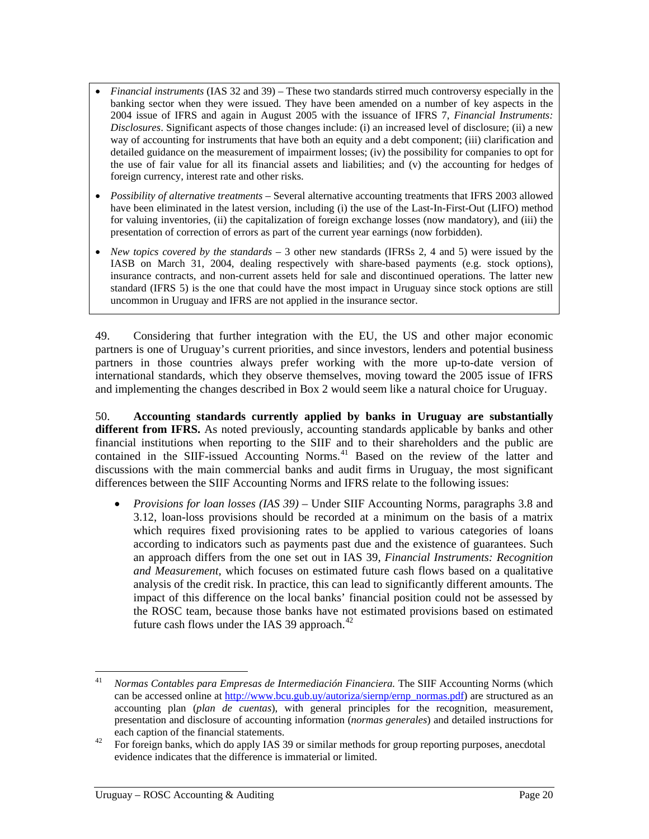- <span id="page-26-1"></span>• *Financial instruments* (IAS 32 and 39) – These two standards stirred much controversy especially in the banking sector when they were issued. They have been amended on a number of key aspects in the 2004 issue of IFRS and again in August 2005 with the issuance of IFRS 7, *Financial Instruments: Disclosures*. Significant aspects of those changes include: (i) an increased level of disclosure; (ii) a new way of accounting for instruments that have both an equity and a debt component; (iii) clarification and detailed guidance on the measurement of impairment losses; (iv) the possibility for companies to opt for the use of fair value for all its financial assets and liabilities; and (v) the accounting for hedges of foreign currency, interest rate and other risks.
- *Possibility of alternative treatments* Several alternative accounting treatments that IFRS 2003 allowed have been eliminated in the latest version, including (i) the use of the Last-In-First-Out (LIFO) method for valuing inventories, (ii) the capitalization of foreign exchange losses (now mandatory), and (iii) the presentation of correction of errors as part of the current year earnings (now forbidden).
- *New topics covered by the standards* 3 other new standards (IFRSs 2, 4 and 5) were issued by the IASB on March 31, 2004, dealing respectively with share-based payments (e.g. stock options), insurance contracts, and non-current assets held for sale and discontinued operations. The latter new standard (IFRS 5) is the one that could have the most impact in Uruguay since stock options are still uncommon in Uruguay and IFRS are not applied in the insurance sector.

<span id="page-26-0"></span>49. Considering that further integration with the EU, the US and other major economic partners is one of Uruguay's current priorities, and since investors, lenders and potential business partners in those countries always prefer working with the more up-to-date version of international standards, which they observe themselves, moving toward the 2005 issue of IFRS and implementing the changes described in Box 2 would seem like a natural choice for Uruguay.

50. **Accounting standards currently applied by banks in Uruguay are substantially different from IFRS.** As noted previously, accounting standards applicable by banks and other financial institutions when reporting to the SIIF and to their shareholders and the public are contained in the SIIF-issued Accounting Norms.<sup>[41](#page-26-1)</sup> Based on the review of the latter and discussions with the main commercial banks and audit firms in Uruguay, the most significant differences between the SIIF Accounting Norms and IFRS relate to the following issues:

• *Provisions for loan losses (IAS 39)* – Under SIIF Accounting Norms, paragraphs 3.8 and 3.12, loan-loss provisions should be recorded at a minimum on the basis of a matrix which requires fixed provisioning rates to be applied to various categories of loans according to indicators such as payments past due and the existence of guarantees. Such an approach differs from the one set out in IAS 39, *Financial Instruments: Recognition and Measurement,* which focuses on estimated future cash flows based on a qualitative analysis of the credit risk. In practice, this can lead to significantly different amounts. The impact of this difference on the local banks' financial position could not be assessed by the ROSC team, because those banks have not estimated provisions based on estimated future cash flows under the IAS 39 approach. $42$ 

 $41$ 41 *Normas Contables para Empresas de Intermediación Financiera.* The SIIF Accounting Norms (which can be accessed online at [http://www.bcu.gub.uy/autoriza/siernp/ernp\\_normas.pdf\)](http://www.bcu.gub.uy/autoriza/siernp/ernp_normas.pdf) are structured as an accounting plan (*plan de cuentas*), with general principles for the recognition, measurement, presentation and disclosure of accounting information (*normas generales*) and detailed instructions for

each caption of the financial statements.<br><sup>42</sup> For foreign banks, which do apply IAS 39 or similar methods for group reporting purposes, anecdotal evidence indicates that the difference is immaterial or limited.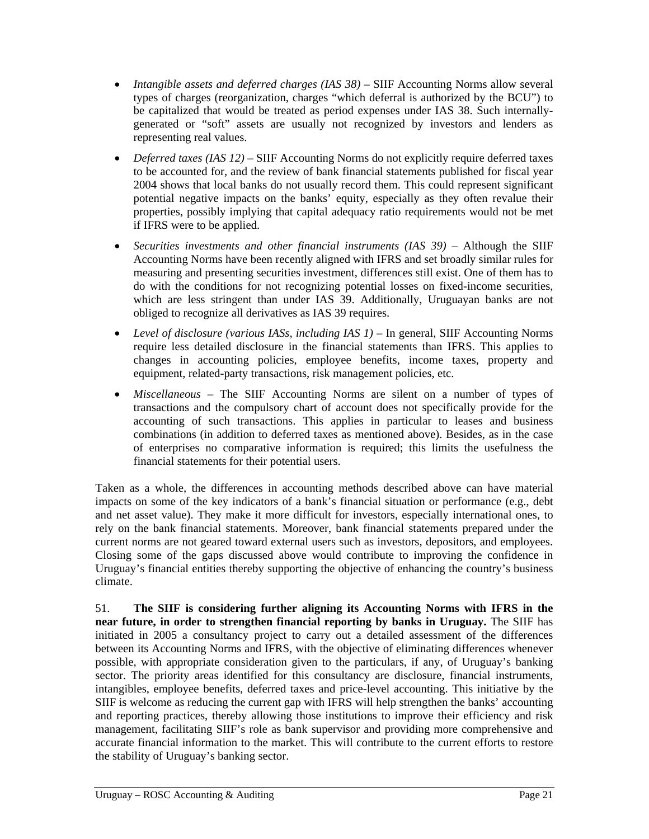- *Intangible assets and deferred charges (IAS 38)* SIIF Accounting Norms allow several types of charges (reorganization, charges "which deferral is authorized by the BCU") to be capitalized that would be treated as period expenses under IAS 38. Such internallygenerated or "soft" assets are usually not recognized by investors and lenders as representing real values.
- *Deferred taxes (IAS 12)* SIIF Accounting Norms do not explicitly require deferred taxes to be accounted for, and the review of bank financial statements published for fiscal year 2004 shows that local banks do not usually record them. This could represent significant potential negative impacts on the banks' equity, especially as they often revalue their properties, possibly implying that capital adequacy ratio requirements would not be met if IFRS were to be applied.
- *Securities investments and other financial instruments (IAS 39)* Although the SIIF Accounting Norms have been recently aligned with IFRS and set broadly similar rules for measuring and presenting securities investment, differences still exist. One of them has to do with the conditions for not recognizing potential losses on fixed-income securities, which are less stringent than under IAS 39. Additionally, Uruguayan banks are not obliged to recognize all derivatives as IAS 39 requires.
- *Level of disclosure (various IASs, including IAS 1)* In general, SIIF Accounting Norms require less detailed disclosure in the financial statements than IFRS. This applies to changes in accounting policies, employee benefits, income taxes, property and equipment, related-party transactions, risk management policies, etc.
- *Miscellaneous*  The SIIF Accounting Norms are silent on a number of types of transactions and the compulsory chart of account does not specifically provide for the accounting of such transactions. This applies in particular to leases and business combinations (in addition to deferred taxes as mentioned above). Besides, as in the case of enterprises no comparative information is required; this limits the usefulness the financial statements for their potential users.

Taken as a whole, the differences in accounting methods described above can have material impacts on some of the key indicators of a bank's financial situation or performance (e.g., debt and net asset value). They make it more difficult for investors, especially international ones, to rely on the bank financial statements. Moreover, bank financial statements prepared under the current norms are not geared toward external users such as investors, depositors, and employees. Closing some of the gaps discussed above would contribute to improving the confidence in Uruguay's financial entities thereby supporting the objective of enhancing the country's business climate.

<span id="page-27-0"></span>51. **The SIIF is considering further aligning its Accounting Norms with IFRS in the near future, in order to strengthen financial reporting by banks in Uruguay.** The SIIF has initiated in 2005 a consultancy project to carry out a detailed assessment of the differences between its Accounting Norms and IFRS, with the objective of eliminating differences whenever possible, with appropriate consideration given to the particulars, if any, of Uruguay's banking sector. The priority areas identified for this consultancy are disclosure, financial instruments, intangibles, employee benefits, deferred taxes and price-level accounting. This initiative by the SIIF is welcome as reducing the current gap with IFRS will help strengthen the banks' accounting and reporting practices, thereby allowing those institutions to improve their efficiency and risk management, facilitating SIIF's role as bank supervisor and providing more comprehensive and accurate financial information to the market. This will contribute to the current efforts to restore the stability of Uruguay's banking sector.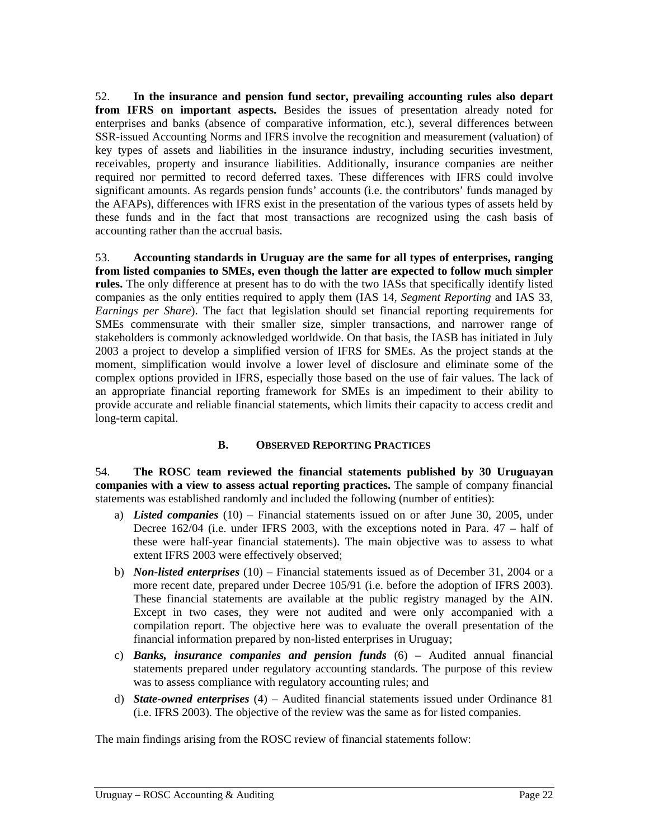<span id="page-28-0"></span>52. **In the insurance and pension fund sector, prevailing accounting rules also depart from IFRS on important aspects.** Besides the issues of presentation already noted for enterprises and banks (absence of comparative information, etc.), several differences between SSR-issued Accounting Norms and IFRS involve the recognition and measurement (valuation) of key types of assets and liabilities in the insurance industry, including securities investment, receivables, property and insurance liabilities. Additionally, insurance companies are neither required nor permitted to record deferred taxes. These differences with IFRS could involve significant amounts. As regards pension funds' accounts (i.e. the contributors' funds managed by the AFAPs), differences with IFRS exist in the presentation of the various types of assets held by these funds and in the fact that most transactions are recognized using the cash basis of accounting rather than the accrual basis.

53. **Accounting standards in Uruguay are the same for all types of enterprises, ranging from listed companies to SMEs, even though the latter are expected to follow much simpler rules.** The only difference at present has to do with the two IASs that specifically identify listed companies as the only entities required to apply them (IAS 14, *Segment Reporting* and IAS 33, *Earnings per Share*). The fact that legislation should set financial reporting requirements for SMEs commensurate with their smaller size, simpler transactions, and narrower range of stakeholders is commonly acknowledged worldwide. On that basis, the IASB has initiated in July 2003 a project to develop a simplified version of IFRS for SMEs. As the project stands at the moment, simplification would involve a lower level of disclosure and eliminate some of the complex options provided in IFRS, especially those based on the use of fair values. The lack of an appropriate financial reporting framework for SMEs is an impediment to their ability to provide accurate and reliable financial statements, which limits their capacity to access credit and long-term capital.

### **B. OBSERVED REPORTING PRACTICES**

<span id="page-28-3"></span><span id="page-28-1"></span>54. **The ROSC team reviewed the financial statements published by 30 Uruguayan companies with a view to assess actual reporting practices.** The sample of company financial statements was established randomly and included the following (number of entities):

- a) *Listed companies* (10) Financial statements issued on or after June 30, 2005, under Decree 162/04 (i.e. under IFRS 2003, with the exceptions noted in Para. [47](#page-24-0) – half of these were half-year financial statements). The main objective was to assess to what extent IFRS 2003 were effectively observed;
- <span id="page-28-2"></span>b) *Non-listed enterprises* (10) – Financial statements issued as of December 31, 2004 or a more recent date, prepared under Decree 105/91 (i.e. before the adoption of IFRS 2003). These financial statements are available at the public registry managed by the AIN. Except in two cases, they were not audited and were only accompanied with a compilation report. The objective here was to evaluate the overall presentation of the financial information prepared by non-listed enterprises in Uruguay;
- c) *Banks, insurance companies and pension funds* (6) Audited annual financial statements prepared under regulatory accounting standards. The purpose of this review was to assess compliance with regulatory accounting rules; and
- d) *State-owned enterprises* (4) Audited financial statements issued under Ordinance 81 (i.e. IFRS 2003). The objective of the review was the same as for listed companies.

<span id="page-28-4"></span>The main findings arising from the ROSC review of financial statements follow: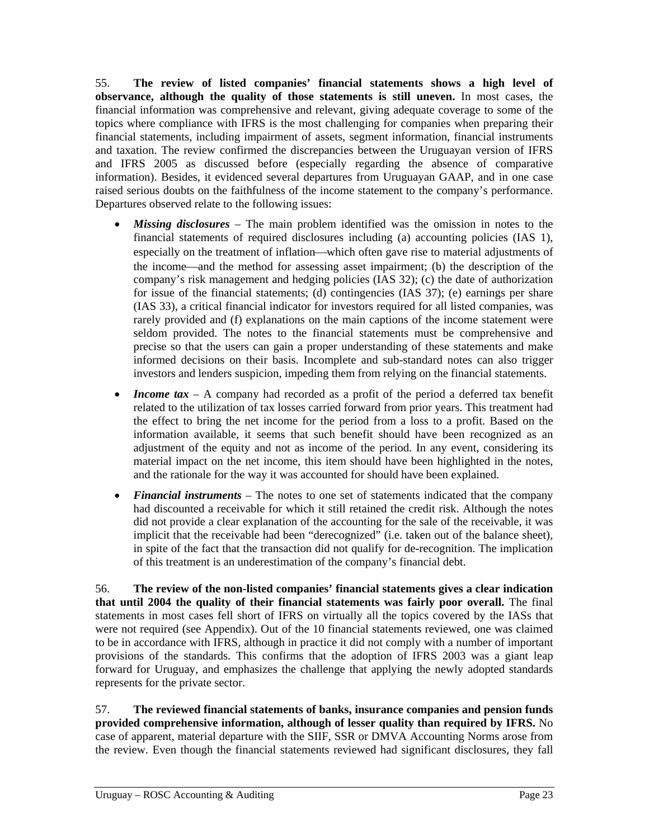55. **The review of listed companies' financial statements shows a high level of observance, although the quality of those statements is still uneven.** In most cases, the financial information was comprehensive and relevant, giving adequate coverage to some of the topics where compliance with IFRS is the most challenging for companies when preparing their financial statements, including impairment of assets, segment information, financial instruments and taxation. The review confirmed the discrepancies between the Uruguayan version of IFRS and IFRS 2005 as discussed before (especially regarding the absence of comparative information). Besides, it evidenced several departures from Uruguayan GAAP, and in one case raised serious doubts on the faithfulness of the income statement to the company's performance. Departures observed relate to the following issues:

- *Missing disclosures*  The main problem identified was the omission in notes to the financial statements of required disclosures including (a) accounting policies (IAS 1), especially on the treatment of inflation—which often gave rise to material adjustments of the income—and the method for assessing asset impairment; (b) the description of the company's risk management and hedging policies (IAS 32); (c) the date of authorization for issue of the financial statements; (d) contingencies (IAS 37); (e) earnings per share (IAS 33), a critical financial indicator for investors required for all listed companies, was rarely provided and (f) explanations on the main captions of the income statement were seldom provided. The notes to the financial statements must be comprehensive and precise so that the users can gain a proper understanding of these statements and make informed decisions on their basis. Incomplete and sub-standard notes can also trigger investors and lenders suspicion, impeding them from relying on the financial statements.
- *Income tax* A company had recorded as a profit of the period a deferred tax benefit related to the utilization of tax losses carried forward from prior years. This treatment had the effect to bring the net income for the period from a loss to a profit. Based on the information available, it seems that such benefit should have been recognized as an adjustment of the equity and not as income of the period. In any event, considering its material impact on the net income, this item should have been highlighted in the notes, and the rationale for the way it was accounted for should have been explained.
- *Financial instruments* The notes to one set of statements indicated that the company had discounted a receivable for which it still retained the credit risk. Although the notes did not provide a clear explanation of the accounting for the sale of the receivable, it was implicit that the receivable had been "derecognized" (i.e. taken out of the balance sheet), in spite of the fact that the transaction did not qualify for de-recognition. The implication of this treatment is an underestimation of the company's financial debt.

56. **The review of the non-listed companies' financial statements gives a clear indication that until 2004 the quality of their financial statements was fairly poor overall.** The final statements in most cases fell short of IFRS on virtually all the topics covered by the IASs that were not required (see [Appendix](#page-43-0)). Out of the 10 financial statements reviewed, one was claimed to be in accordance with IFRS, although in practice it did not comply with a number of important provisions of the standards. This confirms that the adoption of IFRS 2003 was a giant leap forward for Uruguay, and emphasizes the challenge that applying the newly adopted standards represents for the private sector.

57. **The reviewed financial statements of banks, insurance companies and pension funds provided comprehensive information, although of lesser quality than required by IFRS.** No case of apparent, material departure with the SIIF, SSR or DMVA Accounting Norms arose from the review. Even though the financial statements reviewed had significant disclosures, they fall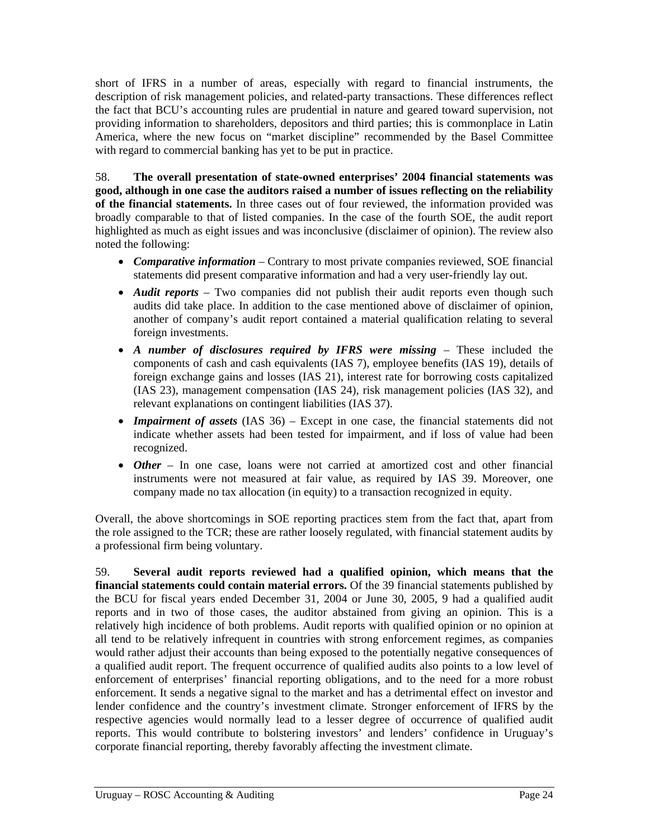short of IFRS in a number of areas, especially with regard to financial instruments, the description of risk management policies, and related-party transactions. These differences reflect the fact that BCU's accounting rules are prudential in nature and geared toward supervision, not providing information to shareholders, depositors and third parties; this is commonplace in Latin America, where the new focus on "market discipline" recommended by the Basel Committee with regard to commercial banking has yet to be put in practice.

58. **The overall presentation of state-owned enterprises' 2004 financial statements was good, although in one case the auditors raised a number of issues reflecting on the reliability of the financial statements.** In three cases out of four reviewed, the information provided was broadly comparable to that of listed companies. In the case of the fourth SOE, the audit report highlighted as much as eight issues and was inconclusive (disclaimer of opinion). The review also noted the following:

- *Comparative information* Contrary to most private companies reviewed, SOE financial statements did present comparative information and had a very user-friendly lay out.
- *Audit reports* Two companies did not publish their audit reports even though such audits did take place. In addition to the case mentioned above of disclaimer of opinion, another of company's audit report contained a material qualification relating to several foreign investments.
- *A number of disclosures required by IFRS were missing These included the* components of cash and cash equivalents (IAS 7), employee benefits (IAS 19), details of foreign exchange gains and losses (IAS 21), interest rate for borrowing costs capitalized (IAS 23), management compensation (IAS 24), risk management policies (IAS 32), and relevant explanations on contingent liabilities (IAS 37).
- *Impairment of assets* (IAS 36) Except in one case, the financial statements did not indicate whether assets had been tested for impairment, and if loss of value had been recognized.
- *Other* In one case, loans were not carried at amortized cost and other financial instruments were not measured at fair value, as required by IAS 39. Moreover, one company made no tax allocation (in equity) to a transaction recognized in equity.

Overall, the above shortcomings in SOE reporting practices stem from the fact that, apart from the role assigned to the TCR; these are rather loosely regulated, with financial statement audits by a professional firm being voluntary.

59. **Several audit reports reviewed had a qualified opinion, which means that the financial statements could contain material errors.** Of the 39 financial statements published by the BCU for fiscal years ended December 31, 2004 or June 30, 2005, 9 had a qualified audit reports and in two of those cases, the auditor abstained from giving an opinion. This is a relatively high incidence of both problems. Audit reports with qualified opinion or no opinion at all tend to be relatively infrequent in countries with strong enforcement regimes, as companies would rather adjust their accounts than being exposed to the potentially negative consequences of a qualified audit report. The frequent occurrence of qualified audits also points to a low level of enforcement of enterprises' financial reporting obligations, and to the need for a more robust enforcement. It sends a negative signal to the market and has a detrimental effect on investor and lender confidence and the country's investment climate. Stronger enforcement of IFRS by the respective agencies would normally lead to a lesser degree of occurrence of qualified audit reports. This would contribute to bolstering investors' and lenders' confidence in Uruguay's corporate financial reporting, thereby favorably affecting the investment climate.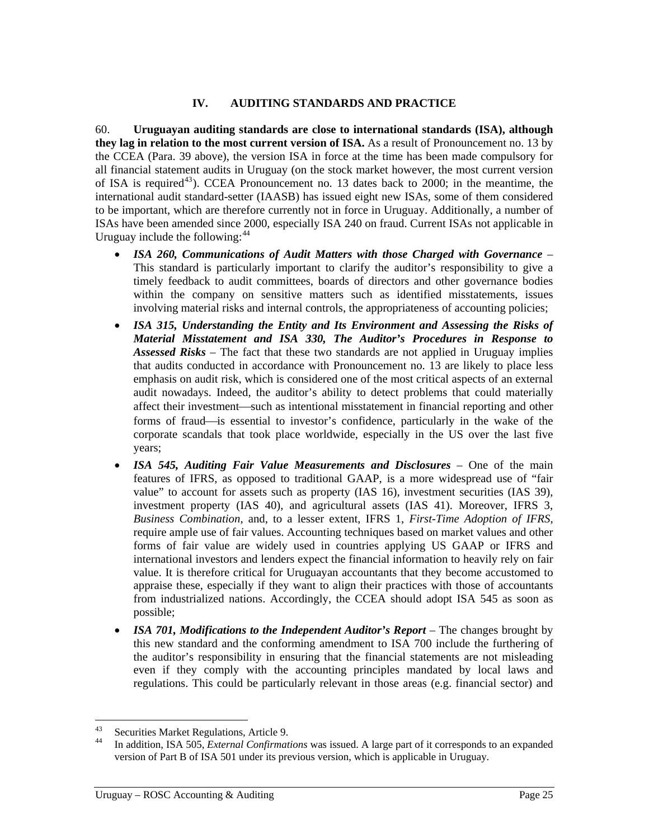#### **IV. AUDITING STANDARDS AND PRACTICE**

<span id="page-31-0"></span>60. **Uruguayan auditing standards are close to international standards (ISA), although they lag in relation to the most current version of ISA.** As a result of Pronouncement no. 13 by the CCEA (Para. [39 above](#page-22-1)), the version ISA in force at the time has been made compulsory for all financial statement audits in Uruguay (on the stock market however, the most current version of ISA is required<sup>[43](#page-31-0)</sup>). CCEA Pronouncement no. 13 dates back to 2000; in the meantime, the international audit standard-setter (IAASB) has issued eight new ISAs, some of them considered to be important, which are therefore currently not in force in Uruguay. Additionally, a number of ISAs have been amended since 2000, especially ISA 240 on fraud. Current ISAs not applicable in Uruguay include the following:  $44$ 

- *ISA 260, Communications of Audit Matters with those Charged with Governance* This standard is particularly important to clarify the auditor's responsibility to give a timely feedback to audit committees, boards of directors and other governance bodies within the company on sensitive matters such as identified misstatements, issues involving material risks and internal controls, the appropriateness of accounting policies;
- *ISA 315, Understanding the Entity and Its Environment and Assessing the Risks of Material Misstatement and ISA 330, The Auditor's Procedures in Response to Assessed Risks –* The fact that these two standards are not applied in Uruguay implies that audits conducted in accordance with Pronouncement no. 13 are likely to place less emphasis on audit risk, which is considered one of the most critical aspects of an external audit nowadays. Indeed, the auditor's ability to detect problems that could materially affect their investment—such as intentional misstatement in financial reporting and other forms of fraud—is essential to investor's confidence, particularly in the wake of the corporate scandals that took place worldwide, especially in the US over the last five years;
- *ISA 545, Auditing Fair Value Measurements and Disclosures* One of the main features of IFRS, as opposed to traditional GAAP, is a more widespread use of "fair value" to account for assets such as property (IAS 16), investment securities (IAS 39), investment property (IAS 40), and agricultural assets (IAS 41). Moreover, IFRS 3, *Business Combination*, and, to a lesser extent, IFRS 1, *First-Time Adoption of IFRS*, require ample use of fair values. Accounting techniques based on market values and other forms of fair value are widely used in countries applying US GAAP or IFRS and international investors and lenders expect the financial information to heavily rely on fair value. It is therefore critical for Uruguayan accountants that they become accustomed to appraise these, especially if they want to align their practices with those of accountants from industrialized nations. Accordingly, the CCEA should adopt ISA 545 as soon as possible;
- *ISA 701, Modifications to the Independent Auditor's Report* The changes brought by this new standard and the conforming amendment to ISA 700 include the furthering of the auditor's responsibility in ensuring that the financial statements are not misleading even if they comply with the accounting principles mandated by local laws and regulations. This could be particularly relevant in those areas (e.g. financial sector) and

<sup>43</sup> <sup>43</sup> Securities Market Regulations, Article 9.<br><sup>44</sup> In addition JSA 505 External Confirmat

<sup>44</sup> In addition, ISA 505, *External Confirmations* was issued. A large part of it corresponds to an expanded version of Part B of ISA 501 under its previous version, which is applicable in Uruguay.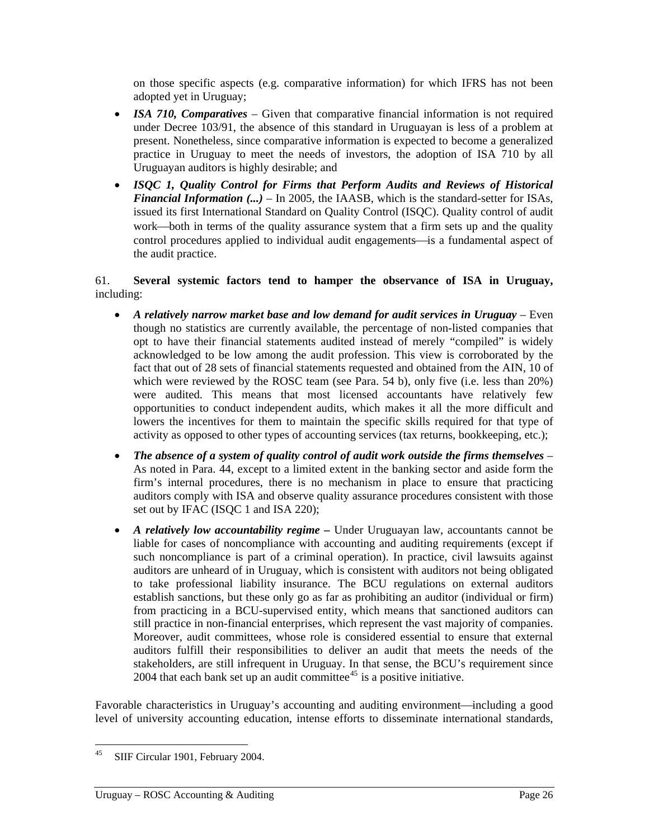<span id="page-32-0"></span>on those specific aspects (e.g. comparative information) for which IFRS has not been adopted yet in Uruguay;

- *ISA 710, Comparatives* Given that comparative financial information is not required under Decree 103/91, the absence of this standard in Uruguayan is less of a problem at present. Nonetheless, since comparative information is expected to become a generalized practice in Uruguay to meet the needs of investors, the adoption of ISA 710 by all Uruguayan auditors is highly desirable; and
- *ISQC 1, Quality Control for Firms that Perform Audits and Reviews of Historical Financial Information (...)* – In 2005, the IAASB, which is the standard-setter for ISAs, issued its first International Standard on Quality Control (ISQC). Quality control of audit work—both in terms of the quality assurance system that a firm sets up and the quality control procedures applied to individual audit engagements—is a fundamental aspect of the audit practice.

### 61. **Several systemic factors tend to hamper the observance of ISA in Uruguay,** including:

- *A relatively narrow market base and low demand for audit services in Uruguay* Even though no statistics are currently available, the percentage of non-listed companies that opt to have their financial statements audited instead of merely "compiled" is widely acknowledged to be low among the audit profession. This view is corroborated by the fact that out of 28 sets of financial statements requested and obtained from the AIN, 10 of which were reviewed by the ROSC team (see Para. [54](#page-28-1) [b\),](#page-28-2) only five (i.e. less than 20%) were audited. This means that most licensed accountants have relatively few opportunities to conduct independent audits, which makes it all the more difficult and lowers the incentives for them to maintain the specific skills required for that type of activity as opposed to other types of accounting services (tax returns, bookkeeping, etc.);
- The absence of a system of quality control of audit work outside the firms themselves As noted in Para. [44](#page-24-1), except to a limited extent in the banking sector and aside form the firm's internal procedures, there is no mechanism in place to ensure that practicing auditors comply with ISA and observe quality assurance procedures consistent with those set out by IFAC (ISQC 1 and ISA 220);
- *A relatively low accountability regime* Under Uruguayan law, accountants cannot be liable for cases of noncompliance with accounting and auditing requirements (except if such noncompliance is part of a criminal operation). In practice, civil lawsuits against auditors are unheard of in Uruguay, which is consistent with auditors not being obligated to take professional liability insurance. The BCU regulations on external auditors establish sanctions, but these only go as far as prohibiting an auditor (individual or firm) from practicing in a BCU-supervised entity, which means that sanctioned auditors can still practice in non-financial enterprises, which represent the vast majority of companies. Moreover, audit committees, whose role is considered essential to ensure that external auditors fulfill their responsibilities to deliver an audit that meets the needs of the stakeholders, are still infrequent in Uruguay. In that sense, the BCU's requirement since 2004 that each bank set up an audit committee<sup>[45](#page-32-0)</sup> is a positive initiative.

Favorable characteristics in Uruguay's accounting and auditing environment—including a good level of university accounting education, intense efforts to disseminate international standards,

<sup>45</sup> SIIF Circular 1901, February 2004.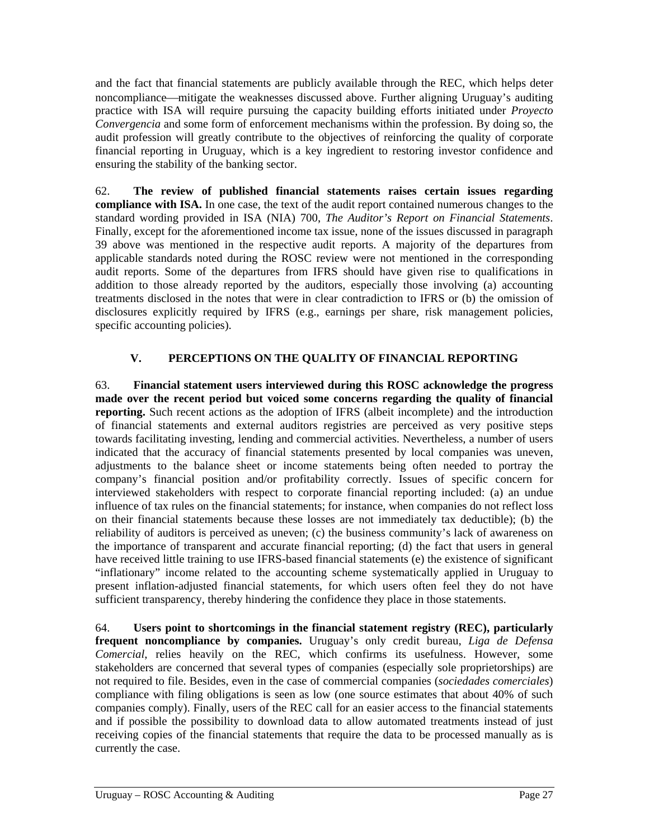and the fact that financial statements are publicly available through the REC, which helps deter noncompliance—mitigate the weaknesses discussed above. Further aligning Uruguay's auditing practice with ISA will require pursuing the capacity building efforts initiated under *Proyecto Convergencia* and some form of enforcement mechanisms within the profession. By doing so, the audit profession will greatly contribute to the objectives of reinforcing the quality of corporate financial reporting in Uruguay, which is a key ingredient to restoring investor confidence and ensuring the stability of the banking sector.

62. **The review of published financial statements raises certain issues regarding compliance with ISA.** In one case, the text of the audit report contained numerous changes to the standard wording provided in ISA (NIA) 700, *The Auditor's Report on Financial Statements*. Finally, except for the aforementioned income tax issue, none of the issues discussed in paragraph 39 above was mentioned in the respective audit reports. A majority of the departures from applicable standards noted during the ROSC review were not mentioned in the corresponding audit reports. Some of the departures from IFRS should have given rise to qualifications in addition to those already reported by the auditors, especially those involving (a) accounting treatments disclosed in the notes that were in clear contradiction to IFRS or (b) the omission of disclosures explicitly required by IFRS (e.g., earnings per share, risk management policies, specific accounting policies).

# **V. PERCEPTIONS ON THE QUALITY OF FINANCIAL REPORTING**

63. **Financial statement users interviewed during this ROSC acknowledge the progress made over the recent period but voiced some concerns regarding the quality of financial reporting.** Such recent actions as the adoption of IFRS (albeit incomplete) and the introduction of financial statements and external auditors registries are perceived as very positive steps towards facilitating investing, lending and commercial activities. Nevertheless, a number of users indicated that the accuracy of financial statements presented by local companies was uneven, adjustments to the balance sheet or income statements being often needed to portray the company's financial position and/or profitability correctly. Issues of specific concern for interviewed stakeholders with respect to corporate financial reporting included: (a) an undue influence of tax rules on the financial statements; for instance, when companies do not reflect loss on their financial statements because these losses are not immediately tax deductible); (b) the reliability of auditors is perceived as uneven; (c) the business community's lack of awareness on the importance of transparent and accurate financial reporting; (d) the fact that users in general have received little training to use IFRS-based financial statements (e) the existence of significant "inflationary" income related to the accounting scheme systematically applied in Uruguay to present inflation-adjusted financial statements, for which users often feel they do not have sufficient transparency, thereby hindering the confidence they place in those statements.

64. **Users point to shortcomings in the financial statement registry (REC), particularly frequent noncompliance by companies.** Uruguay's only credit bureau, *Liga de Defensa Comercial*, relies heavily on the REC, which confirms its usefulness. However, some stakeholders are concerned that several types of companies (especially sole proprietorships) are not required to file. Besides, even in the case of commercial companies (*sociedades comerciales*) compliance with filing obligations is seen as low (one source estimates that about 40% of such companies comply). Finally, users of the REC call for an easier access to the financial statements and if possible the possibility to download data to allow automated treatments instead of just receiving copies of the financial statements that require the data to be processed manually as is currently the case.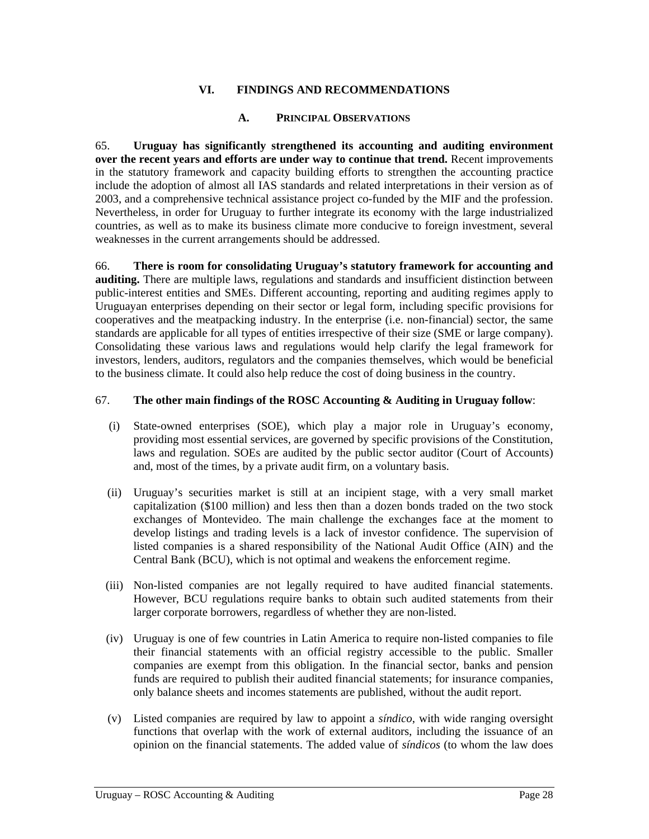### **VI. FINDINGS AND RECOMMENDATIONS**

#### **A. PRINCIPAL OBSERVATIONS**

65. **Uruguay has significantly strengthened its accounting and auditing environment over the recent years and efforts are under way to continue that trend.** Recent improvements in the statutory framework and capacity building efforts to strengthen the accounting practice include the adoption of almost all IAS standards and related interpretations in their version as of 2003, and a comprehensive technical assistance project co-funded by the MIF and the profession. Nevertheless, in order for Uruguay to further integrate its economy with the large industrialized countries, as well as to make its business climate more conducive to foreign investment, several weaknesses in the current arrangements should be addressed.

66. **There is room for consolidating Uruguay's statutory framework for accounting and auditing.** There are multiple laws, regulations and standards and insufficient distinction between public-interest entities and SMEs. Different accounting, reporting and auditing regimes apply to Uruguayan enterprises depending on their sector or legal form, including specific provisions for cooperatives and the meatpacking industry. In the enterprise (i.e. non-financial) sector, the same standards are applicable for all types of entities irrespective of their size (SME or large company). Consolidating these various laws and regulations would help clarify the legal framework for investors, lenders, auditors, regulators and the companies themselves, which would be beneficial to the business climate. It could also help reduce the cost of doing business in the country.

#### 67. **The other main findings of the ROSC Accounting & Auditing in Uruguay follow**:

- (i) State-owned enterprises (SOE), which play a major role in Uruguay's economy, providing most essential services, are governed by specific provisions of the Constitution, laws and regulation. SOEs are audited by the public sector auditor (Court of Accounts) and, most of the times, by a private audit firm, on a voluntary basis.
- (ii) Uruguay's securities market is still at an incipient stage, with a very small market capitalization (\$100 million) and less then than a dozen bonds traded on the two stock exchanges of Montevideo. The main challenge the exchanges face at the moment to develop listings and trading levels is a lack of investor confidence. The supervision of listed companies is a shared responsibility of the National Audit Office (AIN) and the Central Bank (BCU), which is not optimal and weakens the enforcement regime.
- (iii) Non-listed companies are not legally required to have audited financial statements. However, BCU regulations require banks to obtain such audited statements from their larger corporate borrowers, regardless of whether they are non-listed.
- (iv) Uruguay is one of few countries in Latin America to require non-listed companies to file their financial statements with an official registry accessible to the public. Smaller companies are exempt from this obligation. In the financial sector, banks and pension funds are required to publish their audited financial statements; for insurance companies, only balance sheets and incomes statements are published, without the audit report.
- (v) Listed companies are required by law to appoint a *síndico*, with wide ranging oversight functions that overlap with the work of external auditors, including the issuance of an opinion on the financial statements. The added value of *síndicos* (to whom the law does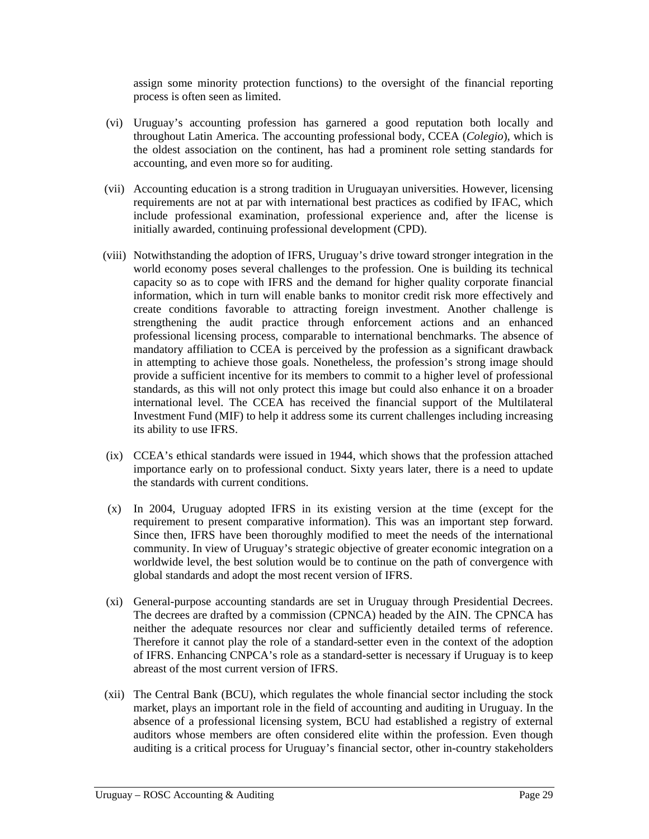assign some minority protection functions) to the oversight of the financial reporting process is often seen as limited.

- (vi) Uruguay's accounting profession has garnered a good reputation both locally and throughout Latin America. The accounting professional body, CCEA (*Colegio*), which is the oldest association on the continent, has had a prominent role setting standards for accounting, and even more so for auditing.
- (vii) Accounting education is a strong tradition in Uruguayan universities. However, licensing requirements are not at par with international best practices as codified by IFAC, which include professional examination, professional experience and, after the license is initially awarded, continuing professional development (CPD).
- (viii) Notwithstanding the adoption of IFRS, Uruguay's drive toward stronger integration in the world economy poses several challenges to the profession. One is building its technical capacity so as to cope with IFRS and the demand for higher quality corporate financial information, which in turn will enable banks to monitor credit risk more effectively and create conditions favorable to attracting foreign investment. Another challenge is strengthening the audit practice through enforcement actions and an enhanced professional licensing process, comparable to international benchmarks. The absence of mandatory affiliation to CCEA is perceived by the profession as a significant drawback in attempting to achieve those goals. Nonetheless, the profession's strong image should provide a sufficient incentive for its members to commit to a higher level of professional standards, as this will not only protect this image but could also enhance it on a broader international level. The CCEA has received the financial support of the Multilateral Investment Fund (MIF) to help it address some its current challenges including increasing its ability to use IFRS.
- (ix) CCEA's ethical standards were issued in 1944, which shows that the profession attached importance early on to professional conduct. Sixty years later, there is a need to update the standards with current conditions.
- (x) In 2004, Uruguay adopted IFRS in its existing version at the time (except for the requirement to present comparative information). This was an important step forward. Since then, IFRS have been thoroughly modified to meet the needs of the international community. In view of Uruguay's strategic objective of greater economic integration on a worldwide level, the best solution would be to continue on the path of convergence with global standards and adopt the most recent version of IFRS.
- (xi) General-purpose accounting standards are set in Uruguay through Presidential Decrees. The decrees are drafted by a commission (CPNCA) headed by the AIN. The CPNCA has neither the adequate resources nor clear and sufficiently detailed terms of reference. Therefore it cannot play the role of a standard-setter even in the context of the adoption of IFRS. Enhancing CNPCA's role as a standard-setter is necessary if Uruguay is to keep abreast of the most current version of IFRS.
- (xii) The Central Bank (BCU), which regulates the whole financial sector including the stock market, plays an important role in the field of accounting and auditing in Uruguay. In the absence of a professional licensing system, BCU had established a registry of external auditors whose members are often considered elite within the profession. Even though auditing is a critical process for Uruguay's financial sector, other in-country stakeholders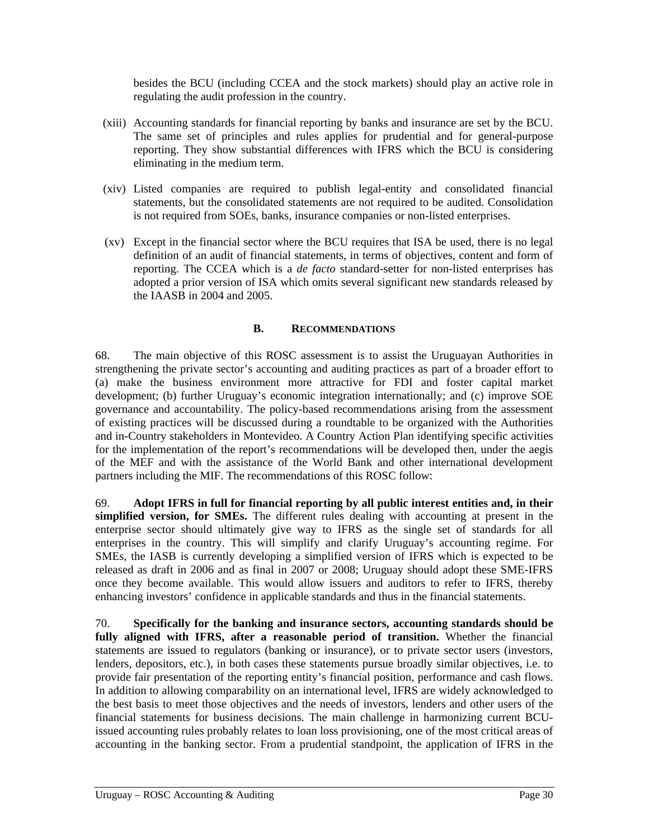besides the BCU (including CCEA and the stock markets) should play an active role in regulating the audit profession in the country.

- (xiii) Accounting standards for financial reporting by banks and insurance are set by the BCU. The same set of principles and rules applies for prudential and for general-purpose reporting. They show substantial differences with IFRS which the BCU is considering eliminating in the medium term.
- (xiv) Listed companies are required to publish legal-entity and consolidated financial statements, but the consolidated statements are not required to be audited. Consolidation is not required from SOEs, banks, insurance companies or non-listed enterprises.
- (xv) Except in the financial sector where the BCU requires that ISA be used, there is no legal definition of an audit of financial statements, in terms of objectives, content and form of reporting. The CCEA which is a *de facto* standard-setter for non-listed enterprises has adopted a prior version of ISA which omits several significant new standards released by the IAASB in 2004 and 2005.

### **B. RECOMMENDATIONS**

<span id="page-36-0"></span>68. The main objective of this ROSC assessment is to assist the Uruguayan Authorities in strengthening the private sector's accounting and auditing practices as part of a broader effort to (a) make the business environment more attractive for FDI and foster capital market development; (b) further Uruguay's economic integration internationally; and (c) improve SOE governance and accountability. The policy-based recommendations arising from the assessment of existing practices will be discussed during a roundtable to be organized with the Authorities and in-Country stakeholders in Montevideo. A Country Action Plan identifying specific activities for the implementation of the report's recommendations will be developed then, under the aegis of the MEF and with the assistance of the World Bank and other international development partners including the MIF. The recommendations of this ROSC follow:

69. **Adopt IFRS in full for financial reporting by all public interest entities and, in their simplified version, for SMEs.** The different rules dealing with accounting at present in the enterprise sector should ultimately give way to IFRS as the single set of standards for all enterprises in the country. This will simplify and clarify Uruguay's accounting regime. For SMEs, the IASB is currently developing a simplified version of IFRS which is expected to be released as draft in 2006 and as final in 2007 or 2008; Uruguay should adopt these SME-IFRS once they become available. This would allow issuers and auditors to refer to IFRS, thereby enhancing investors' confidence in applicable standards and thus in the financial statements.

70. **Specifically for the banking and insurance sectors, accounting standards should be fully aligned with IFRS, after a reasonable period of transition.** Whether the financial statements are issued to regulators (banking or insurance), or to private sector users (investors, lenders, depositors, etc.), in both cases these statements pursue broadly similar objectives, i.e. to provide fair presentation of the reporting entity's financial position, performance and cash flows. In addition to allowing comparability on an international level, IFRS are widely acknowledged to the best basis to meet those objectives and the needs of investors, lenders and other users of the financial statements for business decisions. The main challenge in harmonizing current BCUissued accounting rules probably relates to loan loss provisioning, one of the most critical areas of accounting in the banking sector. From a prudential standpoint, the application of IFRS in the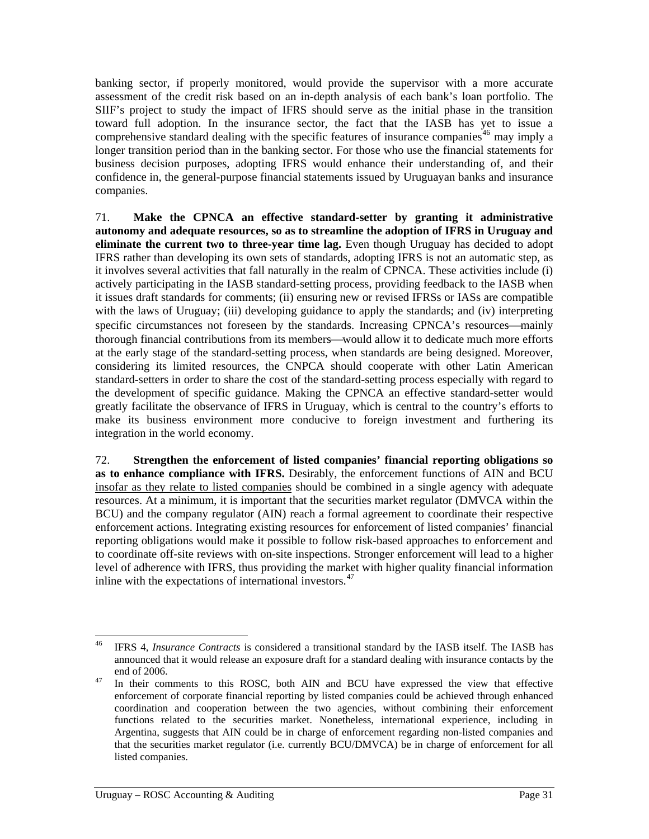<span id="page-37-0"></span>banking sector, if properly monitored, would provide the supervisor with a more accurate assessment of the credit risk based on an in-depth analysis of each bank's loan portfolio. The SIIF's project to study the impact of IFRS should serve as the initial phase in the transition toward full adoption. In the insurance sector, the fact that the IASB has yet to issue a comprehensive standard dealing with the specific features of insurance companies<sup>[46](#page-37-0)</sup> may imply a longer transition period than in the banking sector. For those who use the financial statements for business decision purposes, adopting IFRS would enhance their understanding of, and their confidence in, the general-purpose financial statements issued by Uruguayan banks and insurance companies.

71. **Make the CPNCA an effective standard-setter by granting it administrative autonomy and adequate resources, so as to streamline the adoption of IFRS in Uruguay and eliminate the current two to three-year time lag.** Even though Uruguay has decided to adopt IFRS rather than developing its own sets of standards, adopting IFRS is not an automatic step, as it involves several activities that fall naturally in the realm of CPNCA. These activities include (i) actively participating in the IASB standard-setting process, providing feedback to the IASB when it issues draft standards for comments; (ii) ensuring new or revised IFRSs or IASs are compatible with the laws of Uruguay; (iii) developing guidance to apply the standards; and (iv) interpreting specific circumstances not foreseen by the standards. Increasing CPNCA's resources—mainly thorough financial contributions from its members—would allow it to dedicate much more efforts at the early stage of the standard-setting process, when standards are being designed. Moreover, considering its limited resources, the CNPCA should cooperate with other Latin American standard-setters in order to share the cost of the standard-setting process especially with regard to the development of specific guidance. Making the CPNCA an effective standard-setter would greatly facilitate the observance of IFRS in Uruguay, which is central to the country's efforts to make its business environment more conducive to foreign investment and furthering its integration in the world economy.

72. **Strengthen the enforcement of listed companies' financial reporting obligations so as to enhance compliance with IFRS.** Desirably, the enforcement functions of AIN and BCU insofar as they relate to listed companies should be combined in a single agency with adequate resources. At a minimum, it is important that the securities market regulator (DMVCA within the BCU) and the company regulator (AIN) reach a formal agreement to coordinate their respective enforcement actions. Integrating existing resources for enforcement of listed companies' financial reporting obligations would make it possible to follow risk-based approaches to enforcement and to coordinate off-site reviews with on-site inspections. Stronger enforcement will lead to a higher level of adherence with IFRS, thus providing the market with higher quality financial information inline with the expectations of international investors. $47$ 

 $46\text{ }$ IFRS 4, *Insurance Contracts* is considered a transitional standard by the IASB itself. The IASB has announced that it would release an exposure draft for a standard dealing with insurance contacts by the end of 2006.<br><sup>47</sup> In their comments to this ROSC, both AIN and BCU have expressed the view that effective

enforcement of corporate financial reporting by listed companies could be achieved through enhanced coordination and cooperation between the two agencies, without combining their enforcement functions related to the securities market. Nonetheless, international experience, including in Argentina, suggests that AIN could be in charge of enforcement regarding non-listed companies and that the securities market regulator (i.e. currently BCU/DMVCA) be in charge of enforcement for all listed companies.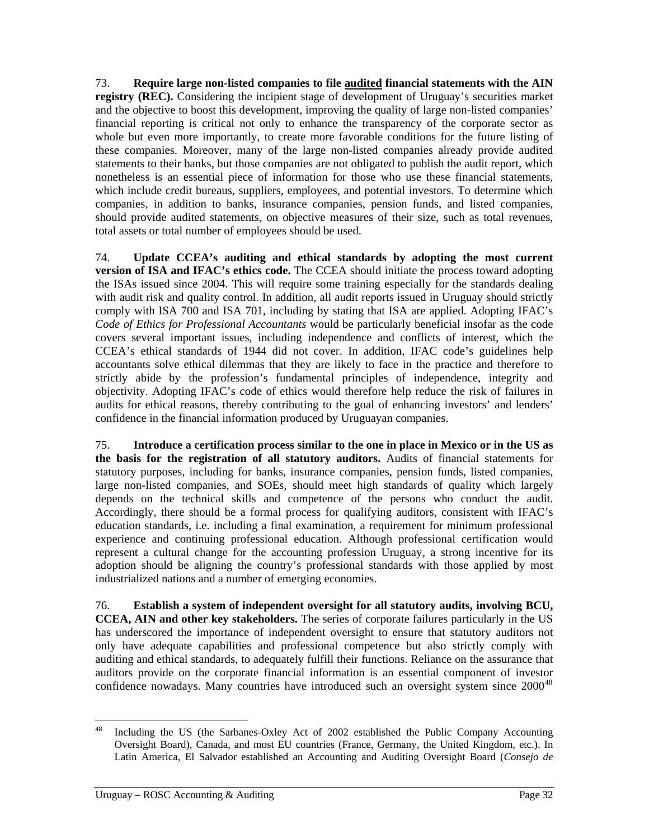<span id="page-38-0"></span>73. **Require large non-listed companies to file audited financial statements with the AIN registry (REC).** Considering the incipient stage of development of Uruguay's securities market and the objective to boost this development, improving the quality of large non-listed companies' financial reporting is critical not only to enhance the transparency of the corporate sector as whole but even more importantly, to create more favorable conditions for the future listing of these companies. Moreover, many of the large non-listed companies already provide audited statements to their banks, but those companies are not obligated to publish the audit report, which nonetheless is an essential piece of information for those who use these financial statements, which include credit bureaus, suppliers, employees, and potential investors. To determine which companies, in addition to banks, insurance companies, pension funds, and listed companies, should provide audited statements, on objective measures of their size, such as total revenues, total assets or total number of employees should be used.

74. **Update CCEA's auditing and ethical standards by adopting the most current version of ISA and IFAC's ethics code.** The CCEA should initiate the process toward adopting the ISAs issued since 2004. This will require some training especially for the standards dealing with audit risk and quality control. In addition, all audit reports issued in Uruguay should strictly comply with ISA 700 and ISA 701, including by stating that ISA are applied. Adopting IFAC's *Code of Ethics for Professional Accountants* would be particularly beneficial insofar as the code covers several important issues, including independence and conflicts of interest, which the CCEA's ethical standards of 1944 did not cover. In addition, IFAC code's guidelines help accountants solve ethical dilemmas that they are likely to face in the practice and therefore to strictly abide by the profession's fundamental principles of independence, integrity and objectivity. Adopting IFAC's code of ethics would therefore help reduce the risk of failures in audits for ethical reasons, thereby contributing to the goal of enhancing investors' and lenders' confidence in the financial information produced by Uruguayan companies.

<span id="page-38-1"></span>75. **Introduce a certification process similar to the one in place in Mexico or in the US as the basis for the registration of all statutory auditors.** Audits of financial statements for statutory purposes, including for banks, insurance companies, pension funds, listed companies, large non-listed companies, and SOEs, should meet high standards of quality which largely depends on the technical skills and competence of the persons who conduct the audit. Accordingly, there should be a formal process for qualifying auditors, consistent with IFAC's education standards, i.e. including a final examination, a requirement for minimum professional experience and continuing professional education. Although professional certification would represent a cultural change for the accounting profession Uruguay, a strong incentive for its adoption should be aligning the country's professional standards with those applied by most industrialized nations and a number of emerging economies.

76. **Establish a system of independent oversight for all statutory audits, involving BCU, CCEA, AIN and other key stakeholders.** The series of corporate failures particularly in the US has underscored the importance of independent oversight to ensure that statutory auditors not only have adequate capabilities and professional competence but also strictly comply with auditing and ethical standards, to adequately fulfill their functions. Reliance on the assurance that auditors provide on the corporate financial information is an essential component of investor confidence nowadays. Many countries have introduced such an oversight system since  $2000^{48}$  $2000^{48}$  $2000^{48}$ 

<sup>48</sup> Including the US (the Sarbanes-Oxley Act of 2002 established the Public Company Accounting Oversight Board), Canada, and most EU countries (France, Germany, the United Kingdom, etc.). In Latin America, El Salvador established an Accounting and Auditing Oversight Board (*Consejo de*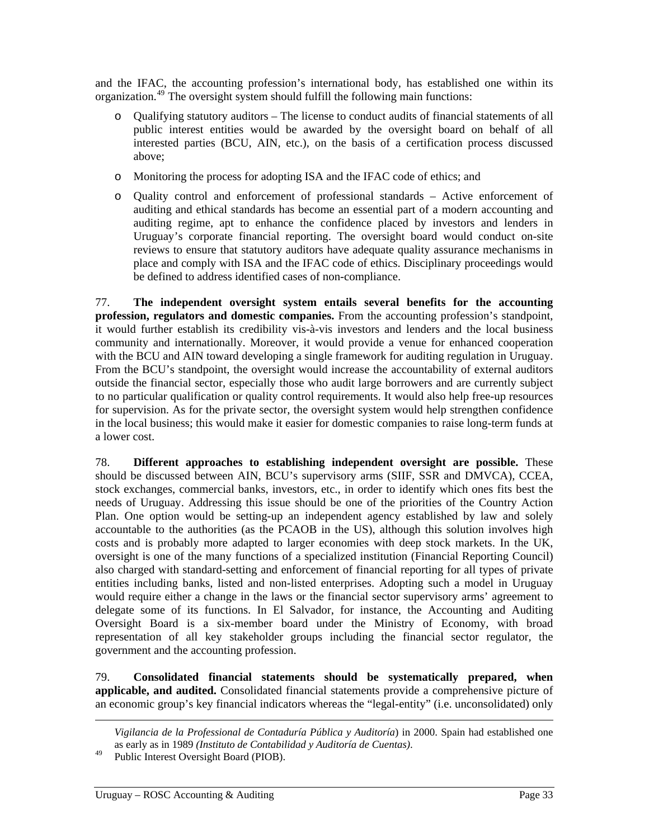<span id="page-39-0"></span>and the IFAC, the accounting profession's international body, has established one within its organization.<sup>[49](#page-39-0)</sup> The oversight system should fulfill the following main functions:

- o Qualifying statutory auditors The license to conduct audits of financial statements of all public interest entities would be awarded by the oversight board on behalf of all interested parties (BCU, AIN, etc.), on the basis of a certification process discussed above;
- o Monitoring the process for adopting ISA and the IFAC code of ethics; and
- o Quality control and enforcement of professional standards Active enforcement of auditing and ethical standards has become an essential part of a modern accounting and auditing regime, apt to enhance the confidence placed by investors and lenders in Uruguay's corporate financial reporting. The oversight board would conduct on-site reviews to ensure that statutory auditors have adequate quality assurance mechanisms in place and comply with ISA and the IFAC code of ethics. Disciplinary proceedings would be defined to address identified cases of non-compliance.

77. **The independent oversight system entails several benefits for the accounting profession, regulators and domestic companies.** From the accounting profession's standpoint, it would further establish its credibility vis-à-vis investors and lenders and the local business community and internationally. Moreover, it would provide a venue for enhanced cooperation with the BCU and AIN toward developing a single framework for auditing regulation in Uruguay. From the BCU's standpoint, the oversight would increase the accountability of external auditors outside the financial sector, especially those who audit large borrowers and are currently subject to no particular qualification or quality control requirements. It would also help free-up resources for supervision. As for the private sector, the oversight system would help strengthen confidence in the local business; this would make it easier for domestic companies to raise long-term funds at a lower cost.

78. **Different approaches to establishing independent oversight are possible.** These should be discussed between AIN, BCU's supervisory arms (SIIF, SSR and DMVCA), CCEA, stock exchanges, commercial banks, investors, etc., in order to identify which ones fits best the needs of Uruguay. Addressing this issue should be one of the priorities of the Country Action Plan. One option would be setting-up an independent agency established by law and solely accountable to the authorities (as the PCAOB in the US), although this solution involves high costs and is probably more adapted to larger economies with deep stock markets. In the UK, oversight is one of the many functions of a specialized institution (Financial Reporting Council) also charged with standard-setting and enforcement of financial reporting for all types of private entities including banks, listed and non-listed enterprises. Adopting such a model in Uruguay would require either a change in the laws or the financial sector supervisory arms' agreement to delegate some of its functions. In El Salvador, for instance, the Accounting and Auditing Oversight Board is a six-member board under the Ministry of Economy, with broad representation of all key stakeholder groups including the financial sector regulator, the government and the accounting profession.

79. **Consolidated financial statements should be systematically prepared, when applicable, and audited.** Consolidated financial statements provide a comprehensive picture of an economic group's key financial indicators whereas the "legal-entity" (i.e. unconsolidated) only

*Vigilancia de la Professional de Contaduría Pública y Auditoría*) in 2000. Spain had established one as early as in 1989 *(Instituto de Contabilidad y Auditoría de Cuentas)*. 49 Public Interest Oversight Board (PIOB).

 $\overline{a}$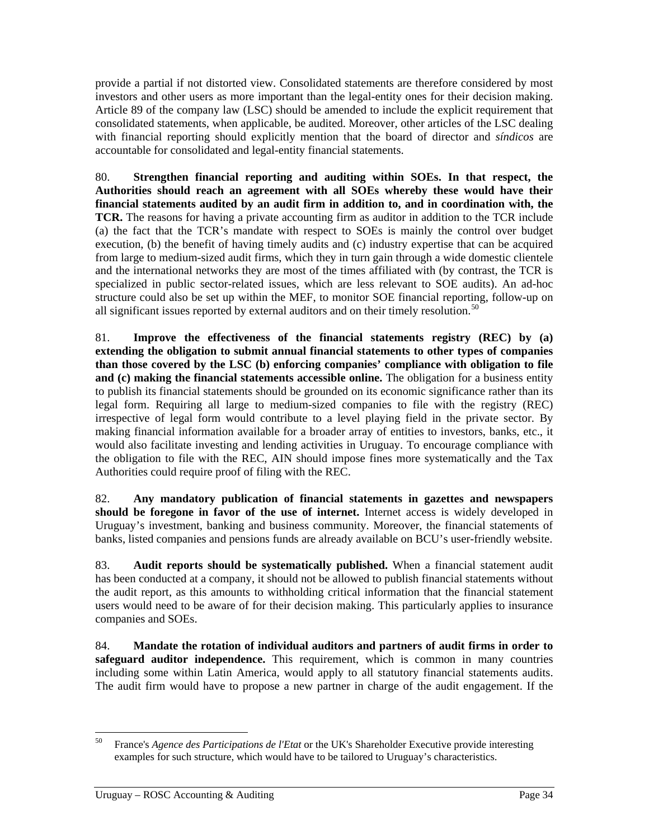<span id="page-40-0"></span>provide a partial if not distorted view. Consolidated statements are therefore considered by most investors and other users as more important than the legal-entity ones for their decision making. Article 89 of the company law (LSC) should be amended to include the explicit requirement that consolidated statements, when applicable, be audited. Moreover, other articles of the LSC dealing with financial reporting should explicitly mention that the board of director and *síndicos* are accountable for consolidated and legal-entity financial statements.

80. **Strengthen financial reporting and auditing within SOEs. In that respect, the Authorities should reach an agreement with all SOEs whereby these would have their financial statements audited by an audit firm in addition to, and in coordination with, the TCR.** The reasons for having a private accounting firm as auditor in addition to the TCR include (a) the fact that the TCR's mandate with respect to SOEs is mainly the control over budget execution, (b) the benefit of having timely audits and (c) industry expertise that can be acquired from large to medium-sized audit firms, which they in turn gain through a wide domestic clientele and the international networks they are most of the times affiliated with (by contrast, the TCR is specialized in public sector-related issues, which are less relevant to SOE audits). An ad-hoc structure could also be set up within the MEF, to monitor SOE financial reporting, follow-up on all significant issues reported by external auditors and on their timely resolution.<sup>[50](#page-40-0)</sup>

81. **Improve the effectiveness of the financial statements registry (REC) by (a) extending the obligation to submit annual financial statements to other types of companies than those covered by the LSC (b) enforcing companies' compliance with obligation to file and (c) making the financial statements accessible online.** The obligation for a business entity to publish its financial statements should be grounded on its economic significance rather than its legal form. Requiring all large to medium-sized companies to file with the registry (REC) irrespective of legal form would contribute to a level playing field in the private sector. By making financial information available for a broader array of entities to investors, banks, etc., it would also facilitate investing and lending activities in Uruguay. To encourage compliance with the obligation to file with the REC, AIN should impose fines more systematically and the Tax Authorities could require proof of filing with the REC.

82. **Any mandatory publication of financial statements in gazettes and newspapers should be foregone in favor of the use of internet.** Internet access is widely developed in Uruguay's investment, banking and business community. Moreover, the financial statements of banks, listed companies and pensions funds are already available on BCU's user-friendly website.

83. **Audit reports should be systematically published.** When a financial statement audit has been conducted at a company, it should not be allowed to publish financial statements without the audit report, as this amounts to withholding critical information that the financial statement users would need to be aware of for their decision making. This particularly applies to insurance companies and SOEs.

84. **Mandate the rotation of individual auditors and partners of audit firms in order to safeguard auditor independence.** This requirement, which is common in many countries including some within Latin America, would apply to all statutory financial statements audits. The audit firm would have to propose a new partner in charge of the audit engagement. If the

<sup>50</sup> 50 France's *Agence des Participations de l'Etat* or the UK's Shareholder Executive provide interesting examples for such structure, which would have to be tailored to Uruguay's characteristics.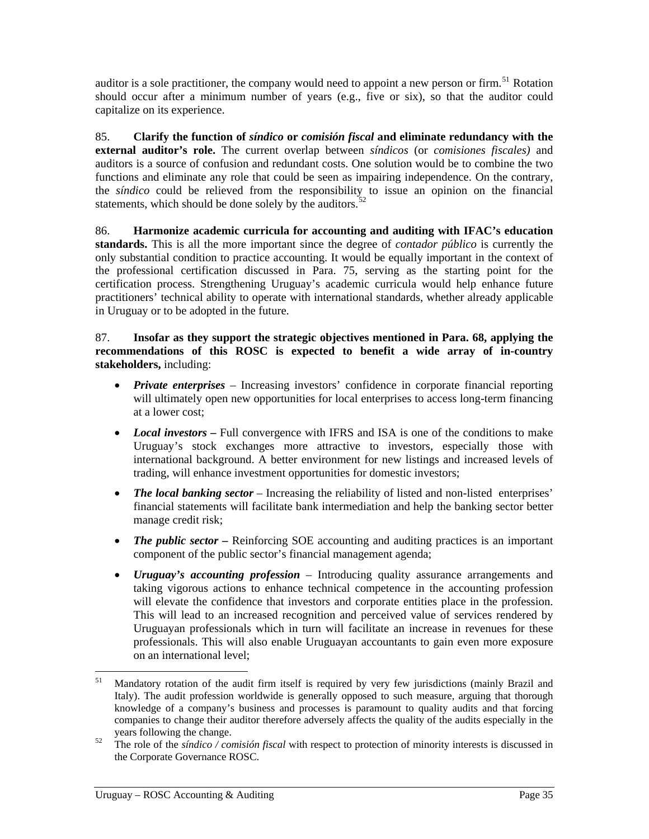<span id="page-41-0"></span>auditor is a sole practitioner, the company would need to appoint a new person or firm.<sup>[51](#page-41-0)</sup> Rotation should occur after a minimum number of years (e.g., five or six), so that the auditor could capitalize on its experience.

85. **Clarify the function of** *síndico* **or** *comisión fiscal* **and eliminate redundancy with the external auditor's role.** The current overlap between *síndicos* (or *comisiones fiscales)* and auditors is a source of confusion and redundant costs. One solution would be to combine the two functions and eliminate any role that could be seen as impairing independence. On the contrary, the *síndico* could be relieved from the responsibility to issue an opinion on the financial statements, which should be done solely by the auditors.<sup>[52](#page-41-0)</sup>

86. **Harmonize academic curricula for accounting and auditing with IFAC's education standards.** This is all the more important since the degree of *contador público* is currently the only substantial condition to practice accounting. It would be equally important in the context of the professional certification discussed in Para. [75,](#page-38-1) serving as the starting point for the certification process. Strengthening Uruguay's academic curricula would help enhance future practitioners' technical ability to operate with international standards, whether already applicable in Uruguay or to be adopted in the future.

87. **Insofar as they support the strategic objectives mentioned in Para. [68,](#page-36-0) applying the recommendations of this ROSC is expected to benefit a wide array of in-country stakeholders,** including:

- *Private enterprises* Increasing investors' confidence in corporate financial reporting will ultimately open new opportunities for local enterprises to access long-term financing at a lower cost;
- *Local investors* Full convergence with IFRS and ISA is one of the conditions to make Uruguay's stock exchanges more attractive to investors, especially those with international background. A better environment for new listings and increased levels of trading, will enhance investment opportunities for domestic investors;
- *The local banking sector* Increasing the reliability of listed and non-listed enterprises' financial statements will facilitate bank intermediation and help the banking sector better manage credit risk;
- *The public sector –* Reinforcing SOE accounting and auditing practices is an important component of the public sector's financial management agenda;
- *Uruguay's accounting profession*  Introducing quality assurance arrangements and taking vigorous actions to enhance technical competence in the accounting profession will elevate the confidence that investors and corporate entities place in the profession. This will lead to an increased recognition and perceived value of services rendered by Uruguayan professionals which in turn will facilitate an increase in revenues for these professionals. This will also enable Uruguayan accountants to gain even more exposure on an international level;

<sup>51</sup> 51 Mandatory rotation of the audit firm itself is required by very few jurisdictions (mainly Brazil and Italy). The audit profession worldwide is generally opposed to such measure, arguing that thorough knowledge of a company's business and processes is paramount to quality audits and that forcing companies to change their auditor therefore adversely affects the quality of the audits especially in the years following the change.<br><sup>52</sup> The role of the *síndico / comisión fiscal* with respect to protection of minority interests is discussed in

the Corporate Governance ROSC.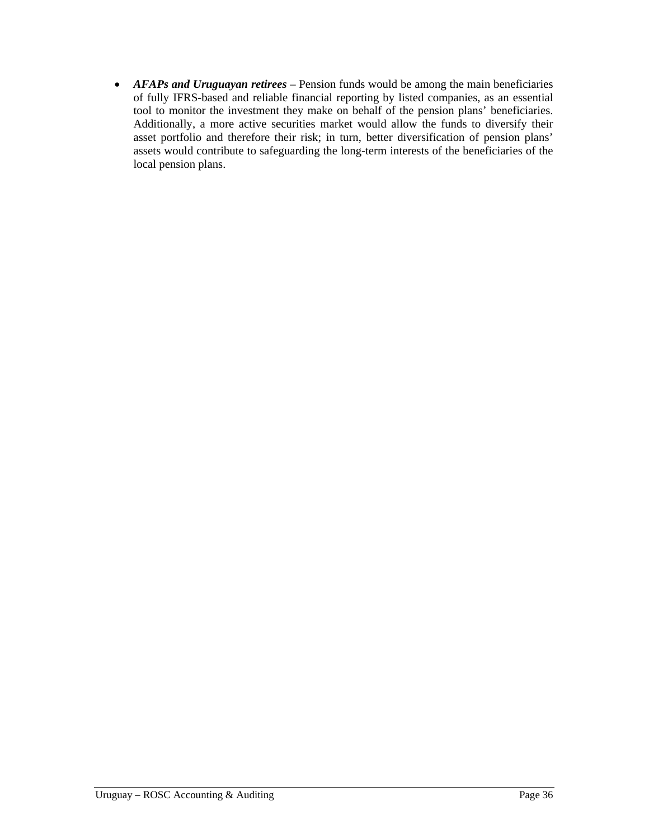• *AFAPs and Uruguayan retirees* – Pension funds would be among the main beneficiaries of fully IFRS-based and reliable financial reporting by listed companies, as an essential tool to monitor the investment they make on behalf of the pension plans' beneficiaries. Additionally, a more active securities market would allow the funds to diversify their asset portfolio and therefore their risk; in turn, better diversification of pension plans' assets would contribute to safeguarding the long-term interests of the beneficiaries of the local pension plans.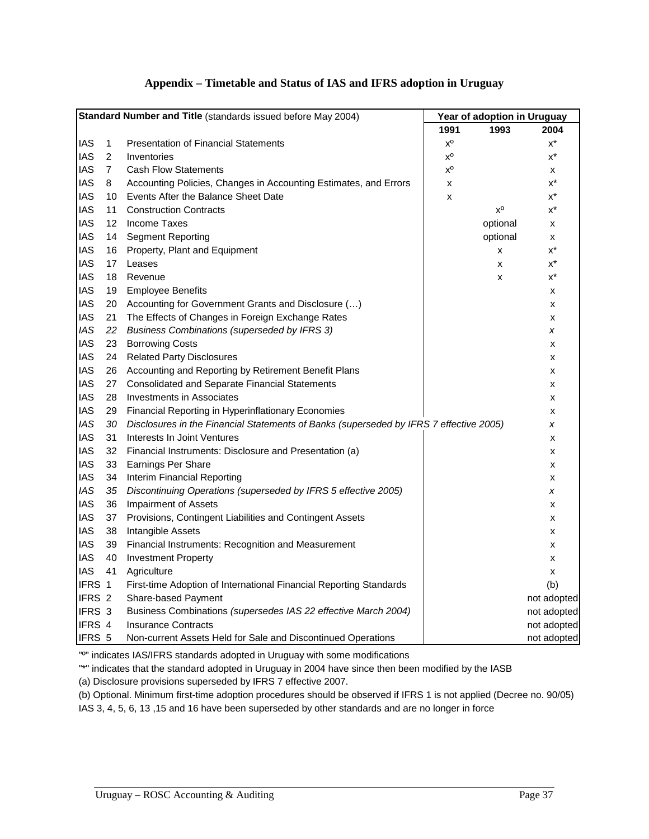# **Appendix – Timetable and Status of IAS and IFRS adoption in Uruguay**

<span id="page-43-0"></span>

| Standard Number and Title (standards issued before May 2004) |                   | Year of adoption in Uruguay                                                            |                           |                |             |
|--------------------------------------------------------------|-------------------|----------------------------------------------------------------------------------------|---------------------------|----------------|-------------|
|                                                              |                   |                                                                                        | 1991                      | 1993           | 2004        |
| <b>IAS</b>                                                   | 1                 | <b>Presentation of Financial Statements</b>                                            | $\mathsf{X}^{\mathsf{0}}$ |                | $x^*$       |
| <b>IAS</b>                                                   | $\overline{2}$    | Inventories                                                                            | $\mathsf{X}^\mathsf{O}$   |                | $x^*$       |
| <b>IAS</b>                                                   | $\overline{7}$    | <b>Cash Flow Statements</b>                                                            | $\mathsf{X}^\mathsf{O}$   |                | x           |
| <b>IAS</b>                                                   | 8                 | Accounting Policies, Changes in Accounting Estimates, and Errors                       | X                         |                | $x^*$       |
| <b>IAS</b>                                                   | 10                | Events After the Balance Sheet Date                                                    | X                         |                | $x^*$       |
| <b>IAS</b>                                                   | 11                | <b>Construction Contracts</b>                                                          |                           | $x^{\text{o}}$ | x*          |
| <b>IAS</b>                                                   | $12 \overline{ }$ | <b>Income Taxes</b>                                                                    |                           | optional       | x           |
| <b>IAS</b>                                                   | 14                | <b>Segment Reporting</b>                                                               |                           | optional       | x           |
| <b>IAS</b>                                                   | 16                | Property, Plant and Equipment                                                          |                           | x              | х*          |
| <b>IAS</b>                                                   | 17                | Leases                                                                                 |                           | X              | $x^*$       |
| <b>IAS</b>                                                   | 18                | Revenue                                                                                |                           | x              | x*          |
| <b>IAS</b>                                                   | 19                | <b>Employee Benefits</b>                                                               |                           |                | x           |
| <b>IAS</b>                                                   | 20                | Accounting for Government Grants and Disclosure ()                                     |                           |                | x           |
| <b>IAS</b>                                                   | 21                | The Effects of Changes in Foreign Exchange Rates                                       |                           |                | x           |
| <b>IAS</b>                                                   | 22                | <b>Business Combinations (superseded by IFRS 3)</b>                                    |                           |                | x           |
| <b>IAS</b>                                                   | 23                | <b>Borrowing Costs</b>                                                                 |                           |                | x           |
| <b>IAS</b>                                                   | 24                | <b>Related Party Disclosures</b>                                                       |                           |                | x           |
| <b>IAS</b>                                                   | 26                | Accounting and Reporting by Retirement Benefit Plans                                   |                           |                | x           |
| <b>IAS</b>                                                   | 27                | <b>Consolidated and Separate Financial Statements</b>                                  |                           |                | x           |
| <b>IAS</b>                                                   | 28                | <b>Investments in Associates</b>                                                       |                           |                | x           |
| <b>IAS</b>                                                   | 29                | Financial Reporting in Hyperinflationary Economies                                     |                           |                | x           |
| <b>IAS</b>                                                   | 30                | Disclosures in the Financial Statements of Banks (superseded by IFRS 7 effective 2005) |                           |                | x           |
| <b>IAS</b>                                                   | 31                | Interests In Joint Ventures                                                            |                           |                | x           |
| <b>IAS</b>                                                   | 32                | Financial Instruments: Disclosure and Presentation (a)                                 |                           |                | x           |
| <b>IAS</b>                                                   | 33                | <b>Earnings Per Share</b>                                                              |                           |                | x           |
| <b>IAS</b>                                                   | 34                | Interim Financial Reporting                                                            |                           |                | x           |
| <b>IAS</b>                                                   | 35                | Discontinuing Operations (superseded by IFRS 5 effective 2005)                         |                           |                | x           |
| <b>IAS</b>                                                   | 36                | <b>Impairment of Assets</b>                                                            |                           |                | x           |
| <b>IAS</b>                                                   | 37                | Provisions, Contingent Liabilities and Contingent Assets                               |                           |                | x           |
| <b>IAS</b>                                                   | 38                | Intangible Assets                                                                      |                           |                | x           |
| <b>IAS</b>                                                   | 39                | Financial Instruments: Recognition and Measurement                                     |                           |                | x           |
| <b>IAS</b>                                                   | 40                | <b>Investment Property</b>                                                             |                           |                | x           |
| <b>IAS</b>                                                   | 41                | Agriculture                                                                            |                           |                | x           |
| IFRS 1                                                       |                   | First-time Adoption of International Financial Reporting Standards                     |                           |                | (b)         |
| IFRS 2                                                       |                   | Share-based Payment                                                                    |                           |                | not adopted |
| IFRS 3                                                       |                   | Business Combinations (supersedes IAS 22 effective March 2004)                         |                           |                | not adopted |
| IFRS 4                                                       |                   | <b>Insurance Contracts</b>                                                             |                           |                | not adopted |
| IFRS 5                                                       |                   | Non-current Assets Held for Sale and Discontinued Operations                           |                           |                | not adopted |

"º" indicates IAS/IFRS standards adopted in Uruguay with some modifications

"\*" indicates that the standard adopted in Uruguay in 2004 have since then been modified by the IASB

(a) Disclosure provisions superseded by IFRS 7 effective 2007.

(b) Optional. Minimum first-time adoption procedures should be observed if IFRS 1 is not applied (Decree no. 90/05)

IAS 3, 4, 5, 6, 13 ,15 and 16 have been superseded by other standards and are no longer in force